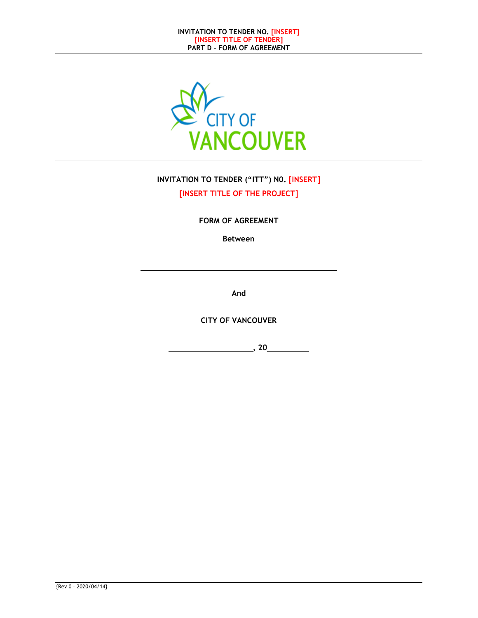

# **INVITATION TO TENDER ("ITT") N0. [INSERT] [INSERT TITLE OF THE PROJECT]**

**FORM OF AGREEMENT** 

**Between** 

**And** 

**CITY OF VANCOUVER** 

 **, 20**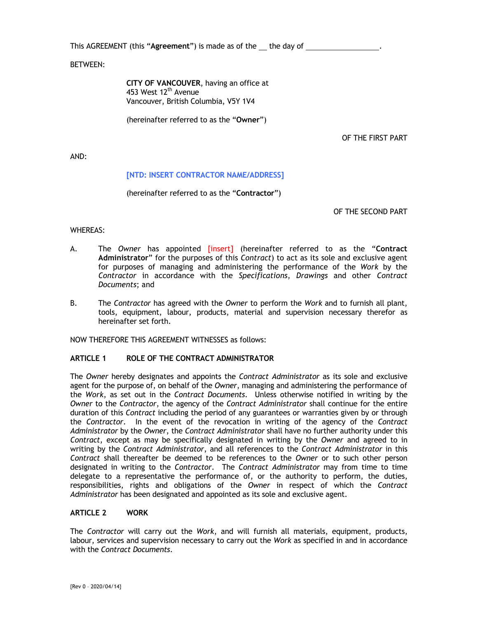This AGREEMENT (this "Agreement") is made as of the \_\_ the day of \_\_\_\_\_\_\_\_\_\_\_\_\_\_

BETWEEN:

**CITY OF VANCOUVER**, having an office at 453 West 12<sup>th</sup> Avenue Vancouver, British Columbia, V5Y 1V4

(hereinafter referred to as the "**Owner**")

OF THE FIRST PART

AND:

#### **[NTD: INSERT CONTRACTOR NAME/ADDRESS]**

(hereinafter referred to as the "**Contractor**")

OF THE SECOND PART

WHEREAS:

- A. The *Owner* has appointed [insert] (hereinafter referred to as the "**Contract Administrator**" for the purposes of this *Contract*) to act as its sole and exclusive agent for purposes of managing and administering the performance of the *Work* by the *Contractor* in accordance with the *Specifications*, *Drawings* and other *Contract Documents*; and
- B. The *Contractor* has agreed with the *Owner* to perform the *Work* and to furnish all plant, tools, equipment, labour, products, material and supervision necessary therefor as hereinafter set forth.

NOW THEREFORE THIS AGREEMENT WITNESSES as follows:

#### **ARTICLE 1 ROLE OF THE CONTRACT ADMINISTRATOR**

The *Owner* hereby designates and appoints the *Contract Administrator* as its sole and exclusive agent for the purpose of, on behalf of the *Owner*, managing and administering the performance of the *Work*, as set out in the *Contract Documents*. Unless otherwise notified in writing by the *Owner* to the *Contractor*, the agency of the *Contract Administrator* shall continue for the entire duration of this *Contract* including the period of any guarantees or warranties given by or through the *Contractor*. In the event of the revocation in writing of the agency of the *Contract Administrator* by the *Owner*, the *Contract Administrator* shall have no further authority under this *Contract*, except as may be specifically designated in writing by the *Owner* and agreed to in writing by the *Contract Administrator*, and all references to the *Contract Administrator* in this *Contract* shall thereafter be deemed to be references to the *Owner* or to such other person designated in writing to the *Contractor*. The *Contract Administrator* may from time to time delegate to a representative the performance of, or the authority to perform, the duties, responsibilities, rights and obligations of the *Owner* in respect of which the *Contract Administrator* has been designated and appointed as its sole and exclusive agent.

#### **ARTICLE 2 WORK**

The *Contractor* will carry out the *Work*, and will furnish all materials, equipment, products, labour, services and supervision necessary to carry out the *Work* as specified in and in accordance with the *Contract Documents*.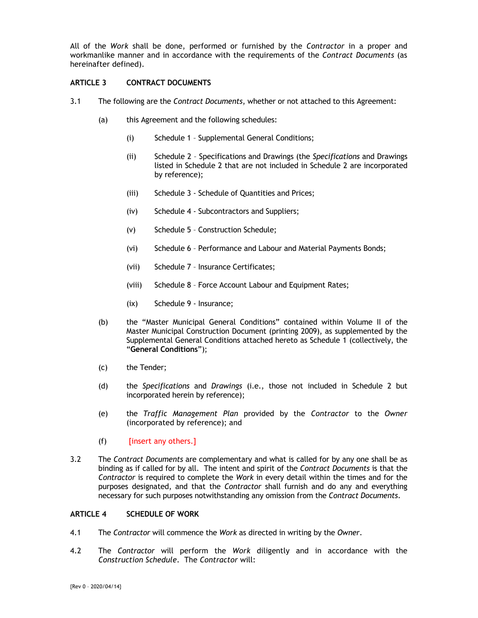All of the *Work* shall be done, performed or furnished by the *Contractor* in a proper and workmanlike manner and in accordance with the requirements of the *Contract Documents* (as hereinafter defined).

#### **ARTICLE 3 CONTRACT DOCUMENTS**

- 3.1 The following are the *Contract Documents*, whether or not attached to this Agreement:
	- (a) this Agreement and the following schedules:
		- (i) Schedule 1 Supplemental General Conditions;
		- (ii) Schedule 2 Specifications and Drawings (the *Specifications* and Drawings listed in Schedule 2 that are not included in Schedule 2 are incorporated by reference);
		- (iii) Schedule 3 Schedule of Quantities and Prices;
		- (iv) Schedule 4 Subcontractors and Suppliers;
		- (v) Schedule 5 Construction Schedule;
		- (vi) Schedule 6 Performance and Labour and Material Payments Bonds;
		- (vii) Schedule 7 Insurance Certificates;
		- (viii) Schedule 8 Force Account Labour and Equipment Rates;
		- (ix) Schedule 9 Insurance;
	- (b) the "Master Municipal General Conditions" contained within Volume II of the Master Municipal Construction Document (printing 2009), as supplemented by the Supplemental General Conditions attached hereto as Schedule 1 (collectively, the "**General Conditions**");
	- (c) the Tender;
	- (d) the *Specifications* and *Drawings* (i.e., those not included in Schedule 2 but incorporated herein by reference);
	- (e) the *Traffic Management Plan* provided by the *Contractor* to the *Owner* (incorporated by reference); and
	- (f) [insert any others.]
- 3.2 The *Contract Documents* are complementary and what is called for by any one shall be as binding as if called for by all. The intent and spirit of the *Contract Documents* is that the *Contractor* is required to complete the *Work* in every detail within the times and for the purposes designated, and that the *Contractor* shall furnish and do any and everything necessary for such purposes notwithstanding any omission from the *Contract Documents*.

#### **ARTICLE 4 SCHEDULE OF WORK**

- 4.1 The *Contractor* will commence the *Work* as directed in writing by the *Owner*.
- 4.2 The *Contractor* will perform the *Work* diligently and in accordance with the *Construction Schedule*. The *Contractor* will: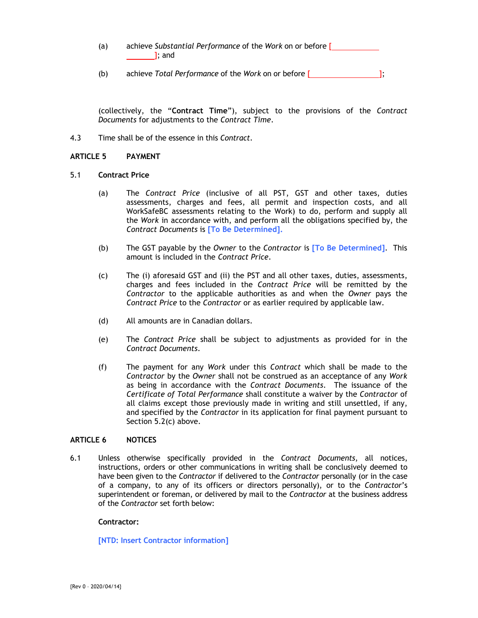- (a) achieve *Substantial Performance* of the *Work* on or before [ ]; and
- (b) achieve *Total Performance* of the *Work* on or before [ ];

(collectively, the "**Contract Time**"), subject to the provisions of the *Contract Documents* for adjustments to the *Contract Time*.

4.3 Time shall be of the essence in this *Contract*.

#### **ARTICLE 5 PAYMENT**

- 5.1 **Contract Price** 
	- (a) The *Contract Price* (inclusive of all PST, GST and other taxes, duties assessments, charges and fees, all permit and inspection costs, and all WorkSafeBC assessments relating to the Work) to do, perform and supply all the *Work* in accordance with, and perform all the obligations specified by, the *Contract Documents* is **[To Be Determined].**
	- (b) The GST payable by the *Owner* to the *Contractor* is **[To Be Determined]**. This amount is included in the *Contract Price*.
	- (c) The (i) aforesaid GST and (ii) the PST and all other taxes, duties, assessments, charges and fees included in the *Contract Price* will be remitted by the *Contractor* to the applicable authorities as and when the *Owner* pays the *Contract Price* to the *Contractor* or as earlier required by applicable law.
	- (d) All amounts are in Canadian dollars.
	- (e) The *Contract Price* shall be subject to adjustments as provided for in the *Contract Documents*.
	- (f) The payment for any *Work* under this *Contract* which shall be made to the *Contractor* by the *Owner* shall not be construed as an acceptance of any *Work* as being in accordance with the *Contract Documents*. The issuance of the *Certificate of Total Performance* shall constitute a waiver by the *Contractor* of all claims except those previously made in writing and still unsettled, if any, and specified by the *Contractor* in its application for final payment pursuant to Section 5.2(c) above.

#### **ARTICLE 6 NOTICES**

6.1 Unless otherwise specifically provided in the *Contract Documents*, all notices, instructions, orders or other communications in writing shall be conclusively deemed to have been given to the *Contractor* if delivered to the *Contractor* personally (or in the case of a company, to any of its officers or directors personally), or to the *Contractor*'s superintendent or foreman, or delivered by mail to the *Contractor* at the business address of the *Contractor* set forth below:

#### **Contractor:**

#### **[NTD: Insert Contractor information]**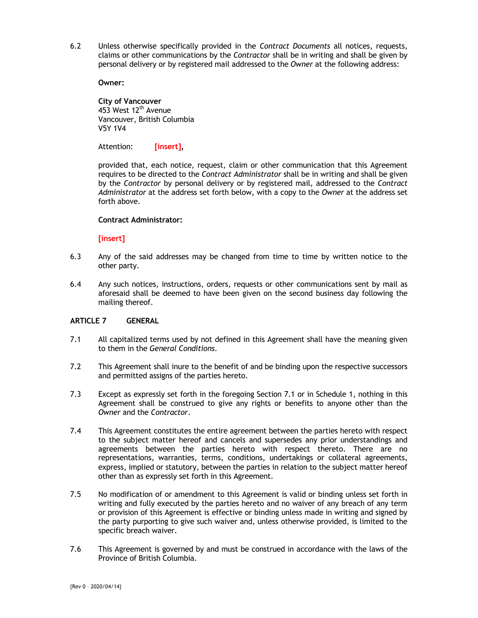6.2 Unless otherwise specifically provided in the *Contract Documents* all notices, requests, claims or other communications by the *Contractor* shall be in writing and shall be given by personal delivery or by registered mail addressed to the *Owner* at the following address:

**Owner:** 

**City of Vancouver**  453 West 12<sup>th</sup> Avenue Vancouver, British Columbia V5Y 1V4

Attention: **[insert],** 

provided that, each notice, request, claim or other communication that this Agreement requires to be directed to the *Contract Administrator* shall be in writing and shall be given by the *Contractor* by personal delivery or by registered mail, addressed to the *Contract Administrator* at the address set forth below, with a copy to the *Owner* at the address set forth above.

#### **Contract Administrator:**

**[insert]** 

- 6.3 Any of the said addresses may be changed from time to time by written notice to the other party.
- 6.4 Any such notices, instructions, orders, requests or other communications sent by mail as aforesaid shall be deemed to have been given on the second business day following the mailing thereof.

#### **ARTICLE 7 GENERAL**

- 7.1 All capitalized terms used by not defined in this Agreement shall have the meaning given to them in the *General Conditions*.
- 7.2 This Agreement shall inure to the benefit of and be binding upon the respective successors and permitted assigns of the parties hereto.
- 7.3 Except as expressly set forth in the foregoing Section 7.1 or in Schedule 1, nothing in this Agreement shall be construed to give any rights or benefits to anyone other than the *Owner* and the *Contractor*.
- 7.4 This Agreement constitutes the entire agreement between the parties hereto with respect to the subject matter hereof and cancels and supersedes any prior understandings and agreements between the parties hereto with respect thereto. There are no representations, warranties, terms, conditions, undertakings or collateral agreements, express, implied or statutory, between the parties in relation to the subject matter hereof other than as expressly set forth in this Agreement.
- 7.5 No modification of or amendment to this Agreement is valid or binding unless set forth in writing and fully executed by the parties hereto and no waiver of any breach of any term or provision of this Agreement is effective or binding unless made in writing and signed by the party purporting to give such waiver and, unless otherwise provided, is limited to the specific breach waiver.
- 7.6 This Agreement is governed by and must be construed in accordance with the laws of the Province of British Columbia.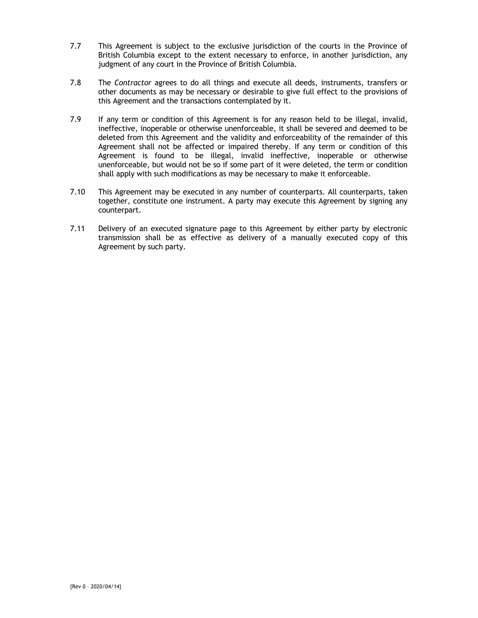- 7.7 This Agreement is subject to the exclusive jurisdiction of the courts in the Province of British Columbia except to the extent necessary to enforce, in another jurisdiction, any judgment of any court in the Province of British Columbia.
- 7.8 The *Contractor* agrees to do all things and execute all deeds, instruments, transfers or other documents as may be necessary or desirable to give full effect to the provisions of this Agreement and the transactions contemplated by it.
- 7.9 If any term or condition of this Agreement is for any reason held to be illegal, invalid, ineffective, inoperable or otherwise unenforceable, it shall be severed and deemed to be deleted from this Agreement and the validity and enforceability of the remainder of this Agreement shall not be affected or impaired thereby. If any term or condition of this Agreement is found to be illegal, invalid ineffective, inoperable or otherwise unenforceable, but would not be so if some part of it were deleted, the term or condition shall apply with such modifications as may be necessary to make it enforceable.
- 7.10 This Agreement may be executed in any number of counterparts. All counterparts, taken together, constitute one instrument. A party may execute this Agreement by signing any counterpart.
- 7.11 Delivery of an executed signature page to this Agreement by either party by electronic transmission shall be as effective as delivery of a manually executed copy of this Agreement by such party.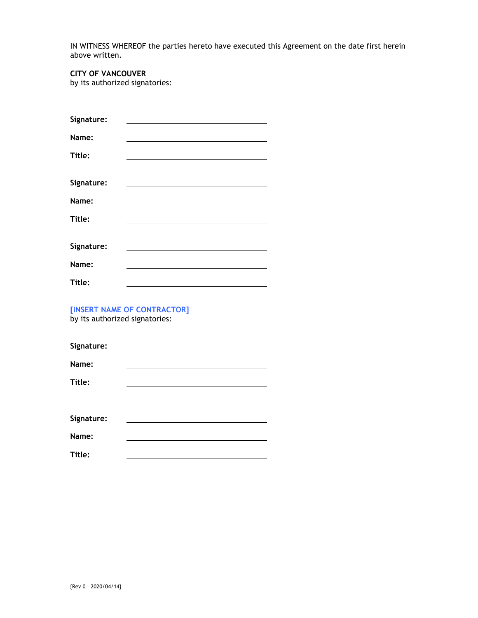IN WITNESS WHEREOF the parties hereto have executed this Agreement on the date first herein above written.

# **CITY OF VANCOUVER**

by its authorized signatories:

| Signature: |                                                                            |
|------------|----------------------------------------------------------------------------|
| Name:      |                                                                            |
| Title:     |                                                                            |
|            |                                                                            |
| Signature: |                                                                            |
| Name:      |                                                                            |
| Title:     | the control of the control of the control of the control of the control of |
|            |                                                                            |
| Signature: |                                                                            |
| Name:      |                                                                            |
| Title:     |                                                                            |

**[INSERT NAME OF CONTRACTOR]**  by its authorized signatories:

| Signature: |  |
|------------|--|
| Name:      |  |
| Title:     |  |
|            |  |
| Signature: |  |
| Name:      |  |
| Title:     |  |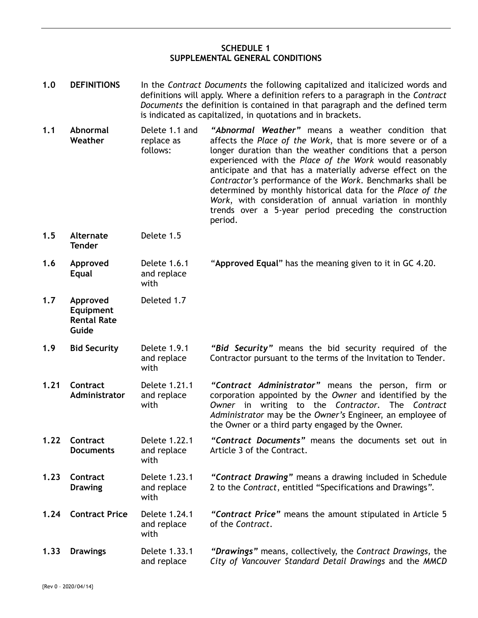# **SCHEDULE 1 SUPPLEMENTAL GENERAL CONDITIONS**

| 1.0  | <b>DEFINITIONS</b>                                   | In the Contract Documents the following capitalized and italicized words and<br>definitions will apply. Where a definition refers to a paragraph in the Contract<br>Documents the definition is contained in that paragraph and the defined term<br>is indicated as capitalized, in quotations and in brackets. |                                                                                                                                                                                                                                                                                                                                                                                                                                                                                                                                                                  |
|------|------------------------------------------------------|-----------------------------------------------------------------------------------------------------------------------------------------------------------------------------------------------------------------------------------------------------------------------------------------------------------------|------------------------------------------------------------------------------------------------------------------------------------------------------------------------------------------------------------------------------------------------------------------------------------------------------------------------------------------------------------------------------------------------------------------------------------------------------------------------------------------------------------------------------------------------------------------|
| 1.1  | Abnormal<br>Weather                                  | Delete 1.1 and<br>replace as<br>follows:                                                                                                                                                                                                                                                                        | "Abnormal Weather" means a weather condition that<br>affects the Place of the Work, that is more severe or of a<br>longer duration than the weather conditions that a person<br>experienced with the Place of the Work would reasonably<br>anticipate and that has a materially adverse effect on the<br>Contractor's performance of the Work. Benchmarks shall be<br>determined by monthly historical data for the Place of the<br>Work, with consideration of annual variation in monthly<br>trends over a 5-year period preceding the construction<br>period. |
| 1.5  | <b>Alternate</b><br><b>Tender</b>                    | Delete 1.5                                                                                                                                                                                                                                                                                                      |                                                                                                                                                                                                                                                                                                                                                                                                                                                                                                                                                                  |
| 1.6  | Approved<br><b>Equal</b>                             | Delete 1.6.1<br>and replace<br>with                                                                                                                                                                                                                                                                             | "Approved Equal" has the meaning given to it in GC 4.20.                                                                                                                                                                                                                                                                                                                                                                                                                                                                                                         |
| 1.7  | Approved<br>Equipment<br><b>Rental Rate</b><br>Guide | Deleted 1.7                                                                                                                                                                                                                                                                                                     |                                                                                                                                                                                                                                                                                                                                                                                                                                                                                                                                                                  |
| 1.9  | <b>Bid Security</b>                                  | Delete 1.9.1<br>and replace<br>with                                                                                                                                                                                                                                                                             | "Bid Security" means the bid security required of the<br>Contractor pursuant to the terms of the Invitation to Tender.                                                                                                                                                                                                                                                                                                                                                                                                                                           |
| 1.21 | Contract<br>Administrator                            | Delete 1.21.1<br>and replace<br>with                                                                                                                                                                                                                                                                            | "Contract Administrator" means the person, firm or<br>corporation appointed by the Owner and identified by the<br>Owner in writing to the Contractor. The Contract<br>Administrator may be the Owner's Engineer, an employee of<br>the Owner or a third party engaged by the Owner.                                                                                                                                                                                                                                                                              |
| 1.22 | Contract<br><b>Documents</b>                         | Delete 1.22.1<br>and replace<br>with                                                                                                                                                                                                                                                                            | "Contract Documents" means the documents set out in<br>Article 3 of the Contract.                                                                                                                                                                                                                                                                                                                                                                                                                                                                                |
| 1.23 | Contract<br><b>Drawing</b>                           | Delete 1.23.1<br>and replace<br>with                                                                                                                                                                                                                                                                            | "Contract Drawing" means a drawing included in Schedule<br>2 to the Contract, entitled "Specifications and Drawings".                                                                                                                                                                                                                                                                                                                                                                                                                                            |
| 1.24 | <b>Contract Price</b>                                | Delete 1.24.1<br>and replace<br>with                                                                                                                                                                                                                                                                            | "Contract Price" means the amount stipulated in Article 5<br>of the Contract.                                                                                                                                                                                                                                                                                                                                                                                                                                                                                    |
| 1.33 | <b>Drawings</b>                                      | Delete 1.33.1<br>and replace                                                                                                                                                                                                                                                                                    | "Drawings" means, collectively, the Contract Drawings, the<br>City of Vancouver Standard Detail Drawings and the MMCD                                                                                                                                                                                                                                                                                                                                                                                                                                            |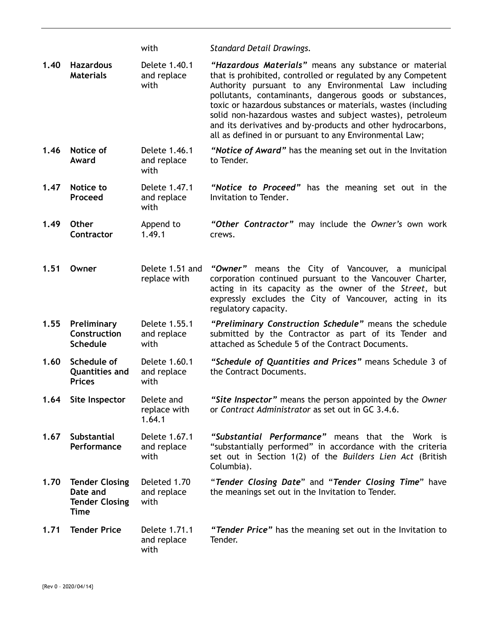|      |                                                                           | with                                 | <b>Standard Detail Drawings.</b>                                                                                                                                                                                                                                                                                                                                                                                                                                                                   |
|------|---------------------------------------------------------------------------|--------------------------------------|----------------------------------------------------------------------------------------------------------------------------------------------------------------------------------------------------------------------------------------------------------------------------------------------------------------------------------------------------------------------------------------------------------------------------------------------------------------------------------------------------|
| 1.40 | <b>Hazardous</b><br><b>Materials</b>                                      | Delete 1.40.1<br>and replace<br>with | "Hazardous Materials" means any substance or material<br>that is prohibited, controlled or regulated by any Competent<br>Authority pursuant to any Environmental Law including<br>pollutants, contaminants, dangerous goods or substances,<br>toxic or hazardous substances or materials, wastes (including<br>solid non-hazardous wastes and subject wastes), petroleum<br>and its derivatives and by-products and other hydrocarbons,<br>all as defined in or pursuant to any Environmental Law; |
| 1.46 | Notice of<br>Award                                                        | Delete 1.46.1<br>and replace<br>with | "Notice of Award" has the meaning set out in the Invitation<br>to Tender.                                                                                                                                                                                                                                                                                                                                                                                                                          |
| 1.47 | Notice to<br>Proceed                                                      | Delete 1.47.1<br>and replace<br>with | "Notice to Proceed" has the meaning set out in the<br>Invitation to Tender.                                                                                                                                                                                                                                                                                                                                                                                                                        |
| 1.49 | <b>Other</b><br><b>Contractor</b>                                         | Append to<br>1.49.1                  | "Other Contractor" may include the Owner's own work<br>crews.                                                                                                                                                                                                                                                                                                                                                                                                                                      |
| 1.51 | Owner                                                                     | Delete 1.51 and<br>replace with      | "Owner" means the City of Vancouver, a municipal<br>corporation continued pursuant to the Vancouver Charter,<br>acting in its capacity as the owner of the Street, but<br>expressly excludes the City of Vancouver, acting in its<br>regulatory capacity.                                                                                                                                                                                                                                          |
| 1.55 | Preliminary<br>Construction<br><b>Schedule</b>                            | Delete 1.55.1<br>and replace<br>with | "Preliminary Construction Schedule" means the schedule<br>submitted by the Contractor as part of its Tender and<br>attached as Schedule 5 of the Contract Documents.                                                                                                                                                                                                                                                                                                                               |
| 1.60 | Schedule of<br><b>Quantities and</b><br><b>Prices</b>                     | Delete 1.60.1<br>and replace<br>with | "Schedule of Quantities and Prices" means Schedule 3 of<br>the Contract Documents.                                                                                                                                                                                                                                                                                                                                                                                                                 |
| 1.64 | Site Inspector                                                            | Delete and<br>replace with<br>1.64.1 | "Site Inspector" means the person appointed by the Owner<br>or Contract Administrator as set out in GC 3.4.6.                                                                                                                                                                                                                                                                                                                                                                                      |
| 1.67 | <b>Substantial</b><br>Performance                                         | Delete 1.67.1<br>and replace<br>with | "Substantial Performance" means that the Work is<br>"substantially performed" in accordance with the criteria<br>set out in Section 1(2) of the Builders Lien Act (British<br>Columbia).                                                                                                                                                                                                                                                                                                           |
| 1.70 | <b>Tender Closing</b><br>Date and<br><b>Tender Closing</b><br><b>Time</b> | Deleted 1.70<br>and replace<br>with  | "Tender Closing Date" and "Tender Closing Time" have<br>the meanings set out in the Invitation to Tender.                                                                                                                                                                                                                                                                                                                                                                                          |
| 1.71 | <b>Tender Price</b>                                                       | Delete 1.71.1<br>and replace<br>with | "Tender Price" has the meaning set out in the Invitation to<br>Tender.                                                                                                                                                                                                                                                                                                                                                                                                                             |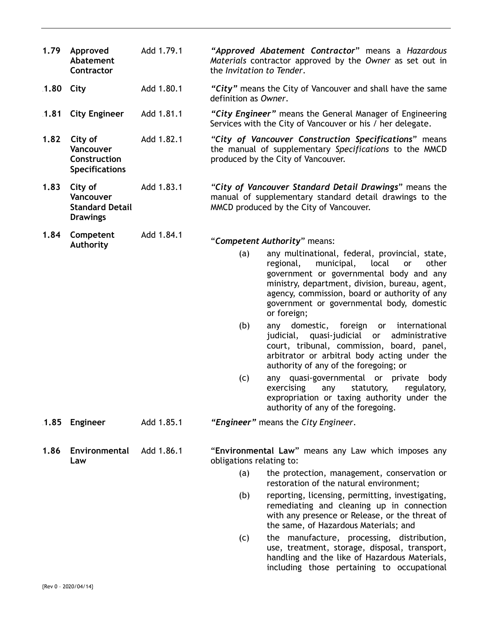**1.79 Approved Abatement Contractor**  Add 1.79.1 *"Approved Abatement Contractor*" means a *Hazardous Materials* contractor approved by the *Owner* as set out in the *Invitation to Tender*. 16B**1.80 City** Add 1.80.1 *"City"* means the City of Vancouver and shall have the same definition as *Owner*. 18B**1.81 City Engineer** Add 1.81.1 *"City Engineer"* means the General Manager of Engineering Services with the City of Vancouver or his / her delegate. **1.82 City of Vancouver Construction Specifications**  Add 1.82.1 *"City of Vancouver Construction Specifications*" means the manual of supplementary *Specifications* to the MMCD produced by the City of Vancouver. **1.83 City of Vancouver Standard Detail Drawings**  Add 1.83.1 *"City of Vancouver Standard Detail Drawings*" means the manual of supplementary standard detail drawings to the MMCD produced by the City of Vancouver. **1.84 Competent Authority**  Add 1.84.1 "*Competent Authority*" means: (a) any multinational, federal, provincial, state, regional, municipal, local or other government or governmental body and any ministry, department, division, bureau, agent, agency, commission, board or authority of any government or governmental body, domestic or foreign; (b) any domestic, foreign or international judicial, quasi-judicial or administrative court, tribunal, commission, board, panel, arbitrator or arbitral body acting under the authority of any of the foregoing; or (c) any quasi-governmental or private body exercising any statutory, regulatory, expropriation or taxing authority under the authority of any of the foregoing. 21B**1.85 Engineer** Add 1.85.1 *"Engineer"* means the *City Engineer*. **1.86 Environmental Law**  Add 1.86.1 "**Environmental Law**" means any Law which imposes any obligations relating to: (a) the protection, management, conservation or restoration of the natural environment; (b) reporting, licensing, permitting, investigating, remediating and cleaning up in connection with any presence or Release, or the threat of the same, of Hazardous Materials; and (c) the manufacture, processing, distribution, use, treatment, storage, disposal, transport, handling and the like of Hazardous Materials, including those pertaining to occupational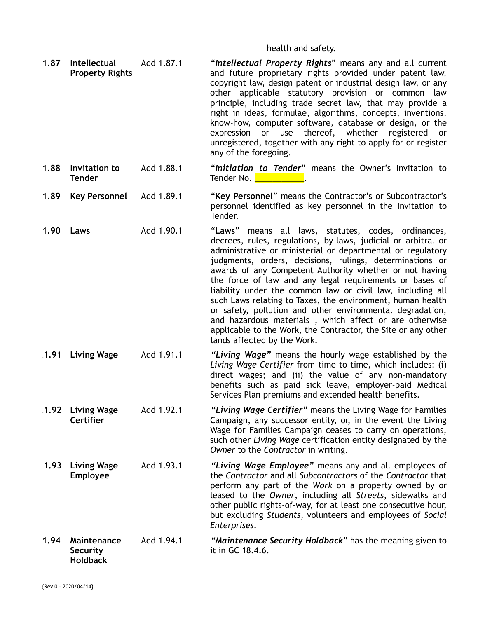### health and safety.

**1.87 Intellectual Property Rights** Add 1.87.1 "*Intellectual Property Rights*" means any and all current and future proprietary rights provided under patent law, copyright law, design patent or industrial design law, or any other applicable statutory provision or common law principle, including trade secret law, that may provide a right in ideas, formulae, algorithms, concepts, inventions, know-how, computer software, database or design, or the expression or use thereof, whether registered or unregistered, together with any right to apply for or register any of the foregoing.

#### **1.88 Invitation to Tender**  Add 1.88.1 "*Initiation to Tender*" means the Owner's Invitation to Tender No. **We have a strong of the strong of the strong of the strong of the strong of the strong of the strong**

- **1.89 Key Personnel** Add 1.89.1 "**Key Personnel**" means the Contractor's or Subcontractor's personnel identified as key personnel in the Invitation to Tender.
- **1.90 Laws** Add 1.90.1 "**Laws**" means all laws, statutes, codes, ordinances, decrees, rules, regulations, by-laws, judicial or arbitral or administrative or ministerial or departmental or regulatory judgments, orders, decisions, rulings, determinations or awards of any Competent Authority whether or not having the force of law and any legal requirements or bases of liability under the common law or civil law, including all such Laws relating to Taxes, the environment, human health or safety, pollution and other environmental degradation, and hazardous materials , which affect or are otherwise applicable to the Work, the Contractor, the Site or any other lands affected by the Work.
- 25B**1.91 Living Wage** Add 1.91.1 *"Living Wage"* means the hourly wage established by the *Living Wage Certifier* from time to time, which includes: (i) direct wages; and (ii) the value of any non-mandatory benefits such as paid sick leave, employer-paid Medical Services Plan premiums and extended health benefits.
- 26B**1.92 Living Wage Certifier**  Add 1.92.1 *"Living Wage Certifier"* means the Living Wage for Families Campaign, any successor entity, or, in the event the Living Wage for Families Campaign ceases to carry on operations, such other *Living Wage* certification entity designated by the *Owner* to the *Contractor* in writing.
- 27B**1.93 Living Wage Employee**  Add 1.93.1 *"Living Wage Employee"* means any and all employees of the *Contractor* and all *Subcontractors* of the *Contractor* that perform any part of the *Work* on a property owned by or leased to the *Owner*, including all *Streets*, sidewalks and other public rights-of-way, for at least one consecutive hour, but excluding *Students*, volunteers and employees of *Social Enterprises*.
- **1.94 Maintenance Security Holdback**  Add 1.94.1 *"Maintenance Security Holdback*" has the meaning given to it in GC 18.4.6.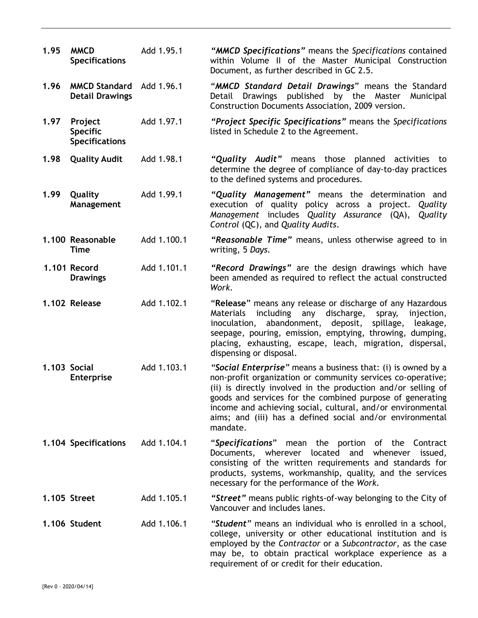| 1.95 | <b>MMCD</b><br><b>Specifications</b>                | Add 1.95.1  | "MMCD Specifications" means the Specifications contained<br>within Volume II of the Master Municipal Construction<br>Document, as further described in GC 2.5.                                                                                                                                                                                                                                    |
|------|-----------------------------------------------------|-------------|---------------------------------------------------------------------------------------------------------------------------------------------------------------------------------------------------------------------------------------------------------------------------------------------------------------------------------------------------------------------------------------------------|
| 1.96 | <b>MMCD Standard</b><br><b>Detail Drawings</b>      | Add 1.96.1  | "MMCD Standard Detail Drawings" means the Standard<br>published by the Master<br>Detail<br><b>Drawings</b><br>Municipal<br>Construction Documents Association, 2009 version.                                                                                                                                                                                                                      |
| 1.97 | Project<br><b>Specific</b><br><b>Specifications</b> | Add 1.97.1  | "Project Specific Specifications" means the Specifications<br>listed in Schedule 2 to the Agreement.                                                                                                                                                                                                                                                                                              |
| 1.98 | <b>Quality Audit</b>                                | Add 1.98.1  | "Quality Audit" means those planned activities to<br>determine the degree of compliance of day-to-day practices<br>to the defined systems and procedures.                                                                                                                                                                                                                                         |
| 1.99 | Quality<br>Management                               | Add 1.99.1  | "Quality Management" means the determination and<br>execution of quality policy across a project.<br>Quality<br>Management includes Quality Assurance (QA),<br>Quality<br>Control (QC), and Quality Audits.                                                                                                                                                                                       |
|      | 1.100 Reasonable<br><b>Time</b>                     | Add 1.100.1 | "Reasonable Time" means, unless otherwise agreed to in<br>writing, 5 Days.                                                                                                                                                                                                                                                                                                                        |
|      | 1.101 Record<br><b>Drawings</b>                     | Add 1.101.1 | "Record Drawings" are the design drawings which have<br>been amended as required to reflect the actual constructed<br>Work.                                                                                                                                                                                                                                                                       |
|      | 1.102 Release                                       | Add 1.102.1 | "Release" means any release or discharge of any Hazardous<br>including any discharge,<br>Materials<br>spray,<br>injection,<br>inoculation, abandonment, deposit,<br>spillage, leakage,<br>seepage, pouring, emission, emptying, throwing, dumping,<br>placing, exhausting, escape, leach, migration, dispersal,<br>dispensing or disposal.                                                        |
|      | 1.103 Social<br><b>Enterprise</b>                   | Add 1.103.1 | "Social Enterprise" means a business that: (i) is owned by a<br>non-profit organization or community services co-operative;<br>(ii) is directly involved in the production and/or selling of<br>goods and services for the combined purpose of generating<br>income and achieving social, cultural, and/or environmental<br>aims; and (iii) has a defined social and/or environmental<br>mandate. |
|      | 1.104 Specifications                                | Add 1.104.1 | "Specifications"<br>mean the portion of the Contract<br>Documents, wherever located and whenever<br>issued,<br>consisting of the written requirements and standards for<br>products, systems, workmanship, quality, and the services<br>necessary for the performance of the Work.                                                                                                                |
|      | 1.105 Street                                        | Add 1.105.1 | "Street" means public rights-of-way belonging to the City of<br>Vancouver and includes lanes.                                                                                                                                                                                                                                                                                                     |
|      | 1.106 Student                                       | Add 1.106.1 | "Student" means an individual who is enrolled in a school,<br>college, university or other educational institution and is<br>employed by the Contractor or a Subcontractor, as the case<br>may be, to obtain practical workplace experience as a<br>requirement of or credit for their education.                                                                                                 |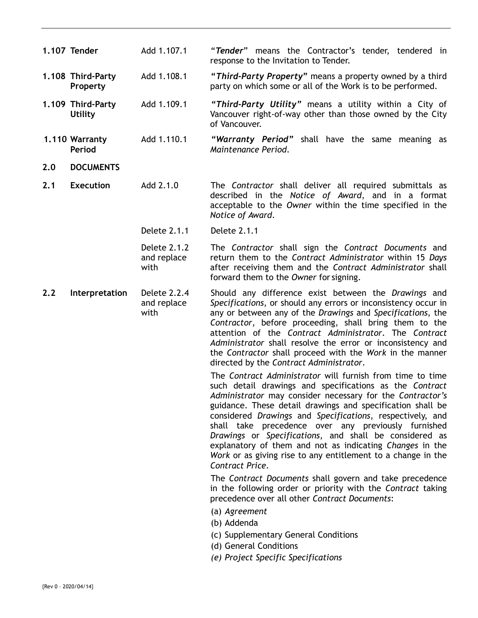|     | 1.107 Tender                        | Add 1.107.1                         | "Tender" means the Contractor's tender, tendered in<br>response to the Invitation to Tender.                                                                                                                                                                                                                                                                                                                                                                                                                                                                                                                                                                                                                                                                                                                                                                                                                                                                                                                                                                                                                                                                                                                                                                                                                                                                                     |
|-----|-------------------------------------|-------------------------------------|----------------------------------------------------------------------------------------------------------------------------------------------------------------------------------------------------------------------------------------------------------------------------------------------------------------------------------------------------------------------------------------------------------------------------------------------------------------------------------------------------------------------------------------------------------------------------------------------------------------------------------------------------------------------------------------------------------------------------------------------------------------------------------------------------------------------------------------------------------------------------------------------------------------------------------------------------------------------------------------------------------------------------------------------------------------------------------------------------------------------------------------------------------------------------------------------------------------------------------------------------------------------------------------------------------------------------------------------------------------------------------|
|     | 1.108 Third-Party<br>Property       | Add 1.108.1                         | "Third-Party Property" means a property owned by a third<br>party on which some or all of the Work is to be performed.                                                                                                                                                                                                                                                                                                                                                                                                                                                                                                                                                                                                                                                                                                                                                                                                                                                                                                                                                                                                                                                                                                                                                                                                                                                           |
|     | 1.109 Third-Party<br><b>Utility</b> | Add 1.109.1                         | "Third-Party Utility" means a utility within a City of<br>Vancouver right-of-way other than those owned by the City<br>of Vancouver.                                                                                                                                                                                                                                                                                                                                                                                                                                                                                                                                                                                                                                                                                                                                                                                                                                                                                                                                                                                                                                                                                                                                                                                                                                             |
|     | 1.110 Warranty<br>Period            | Add 1.110.1                         | "Warranty Period" shall have the same meaning as<br>Maintenance Period.                                                                                                                                                                                                                                                                                                                                                                                                                                                                                                                                                                                                                                                                                                                                                                                                                                                                                                                                                                                                                                                                                                                                                                                                                                                                                                          |
| 2.0 | <b>DOCUMENTS</b>                    |                                     |                                                                                                                                                                                                                                                                                                                                                                                                                                                                                                                                                                                                                                                                                                                                                                                                                                                                                                                                                                                                                                                                                                                                                                                                                                                                                                                                                                                  |
| 2.1 | <b>Execution</b>                    | Add 2.1.0                           | The Contractor shall deliver all required submittals as<br>described in the Notice of Award, and in a format<br>acceptable to the Owner within the time specified in the<br>Notice of Award.                                                                                                                                                                                                                                                                                                                                                                                                                                                                                                                                                                                                                                                                                                                                                                                                                                                                                                                                                                                                                                                                                                                                                                                     |
|     |                                     | Delete 2.1.1                        | Delete 2.1.1                                                                                                                                                                                                                                                                                                                                                                                                                                                                                                                                                                                                                                                                                                                                                                                                                                                                                                                                                                                                                                                                                                                                                                                                                                                                                                                                                                     |
|     |                                     | Delete 2.1.2<br>and replace<br>with | The Contractor shall sign the Contract Documents and<br>return them to the Contract Administrator within 15 Days<br>after receiving them and the Contract Administrator shall<br>forward them to the Owner for signing.                                                                                                                                                                                                                                                                                                                                                                                                                                                                                                                                                                                                                                                                                                                                                                                                                                                                                                                                                                                                                                                                                                                                                          |
| 2.2 | Interpretation                      | Delete 2.2.4<br>and replace<br>with | Should any difference exist between the Drawings and<br>Specifications, or should any errors or inconsistency occur in<br>any or between any of the Drawings and Specifications, the<br>Contractor, before proceeding, shall bring them to the<br>attention of the Contract Administrator. The Contract<br>Administrator shall resolve the error or inconsistency and<br>the Contractor shall proceed with the Work in the manner<br>directed by the Contract Administrator.<br>The Contract Administrator will furnish from time to time<br>such detail drawings and specifications as the Contract<br>Administrator may consider necessary for the Contractor's<br>guidance. These detail drawings and specification shall be<br>considered Drawings and Specifications, respectively, and<br>shall take precedence over any previously furnished<br>Drawings or Specifications, and shall be considered as<br>explanatory of them and not as indicating Changes in the<br>Work or as giving rise to any entitlement to a change in the<br>Contract Price.<br>The Contract Documents shall govern and take precedence<br>in the following order or priority with the Contract taking<br>precedence over all other Contract Documents:<br>(a) Agreement<br>(b) Addenda<br>(c) Supplementary General Conditions<br>(d) General Conditions<br>(e) Project Specific Specifications |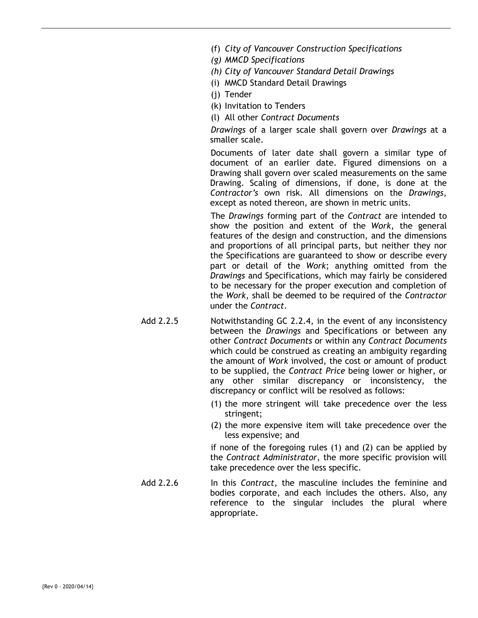- (f) *City of Vancouver Construction Specifications*
- *(g) MMCD Specifications*
- *(h) City of Vancouver Standard Detail Drawings*
- (i) MMCD Standard Detail Drawings
- (j) Tender
- (k) Invitation to Tenders
- (l) All other *Contract Documents*

*Drawings* of a larger scale shall govern over *Drawings* at a smaller scale.

Documents of later date shall govern a similar type of document of an earlier date. Figured dimensions on a Drawing shall govern over scaled measurements on the same Drawing. Scaling of dimensions, if done, is done at the *Contractor's* own risk. All dimensions on the *Drawings*, except as noted thereon, are shown in metric units.

The *Drawings* forming part of the *Contract* are intended to show the position and extent of the *Work*, the general features of the design and construction, and the dimensions and proportions of all principal parts, but neither they nor the Specifications are guaranteed to show or describe every part or detail of the *Work*; anything omitted from the *Drawings* and Specifications, which may fairly be considered to be necessary for the proper execution and completion of the *Work*, shall be deemed to be required of the *Contractor* under the *Contract*.

- Add 2.2.5 Notwithstanding GC 2.2.4, in the event of any inconsistency between the *Drawings* and Specifications or between any other *Contract Documents* or within any *Contract Documents* which could be construed as creating an ambiguity regarding the amount of *Work* involved, the cost or amount of product to be supplied, the *Contract Price* being lower or higher, or any other similar discrepancy or inconsistency, the discrepancy or conflict will be resolved as follows:
	- (1) the more stringent will take precedence over the less stringent;
	- (2) the more expensive item will take precedence over the less expensive; and

if none of the foregoing rules (1) and (2) can be applied by the *Contract Administrator*, the more specific provision will take precedence over the less specific.

Add 2.2.6 In this *Contract*, the masculine includes the feminine and bodies corporate, and each includes the others. Also, any reference to the singular includes the plural where appropriate.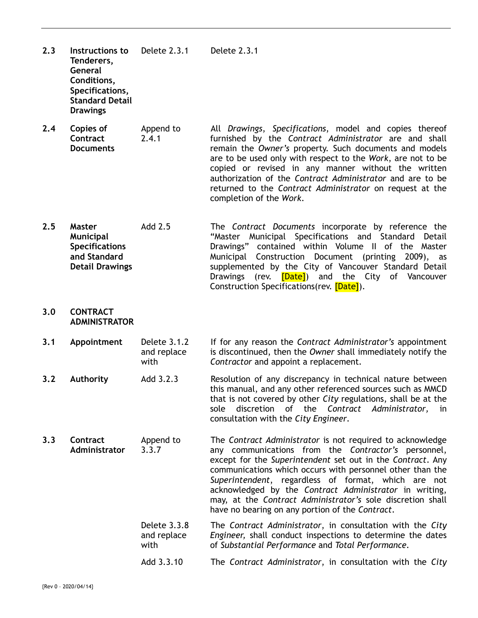**2.3 Instructions to Tenderers, General Conditions, Specifications, Standard Detail Drawings**  Delete 2.3.1 Delete 2.3.1

- **2.4 Copies of Contract Documents**  Append to 2.4.1 All *Drawings*, *Specifications*, model and copies thereof furnished by the *Contract Administrator* are and shall remain the *Owner's* property. Such documents and models are to be used only with respect to the *Work*, are not to be copied or revised in any manner without the written authorization of the *Contract Administrator* and are to be returned to the *Contract Administrator* on request at the completion of the *Work*.
- **2.5 Master Municipal Specifications and Standard Detail Drawings** Add 2.5 The *Contract Documents* incorporate by reference the "Master Municipal Specifications and Standard Detail Drawings" contained within Volume II of the Master Municipal Construction Document (printing 2009), as supplemented by the City of Vancouver Standard Detail Drawings (rev. **[Date]**) and the City of Vancouver Construction Specifications(rev. [Date]).

### **3.0 CONTRACT ADMINISTRATOR**

- **3.1 Appointment** Delete 3.1.2 and replace with If for any reason the *Contract Administrator's* appointment is discontinued, then the *Owner* shall immediately notify the *Contractor* and appoint a replacement.
- **3.2** Authority Add 3.2.3 Resolution of any discrepancy in technical nature between this manual, and any other referenced sources such as MMCD that is not covered by other *City* regulations, shall be at the sole discretion of the *Contract Administrator,* in consultation with the *City Engineer.*
- **3.3 Contract Administrator**  Append to 3.3.7 The *Contract Administrator* is not required to acknowledge any communications from the *Contractor's* personnel, except for the *Superintendent* set out in the *Contract*. Any communications which occurs with personnel other than the *Superintendent*, regardless of format, which are not acknowledged by the *Contract Administrator* in writing, may, at the *Contract Administrator's* sole discretion shall have no bearing on any portion of the *Contract*. Delete 3.3.8
	- and replace with The *Contract Administrator*, in consultation with the *City Engineer,* shall conduct inspections to determine the dates of *Substantial Performance* and *Total Performance.*
	- Add 3.3.10 The *Contract Administrator*, in consultation with the *City*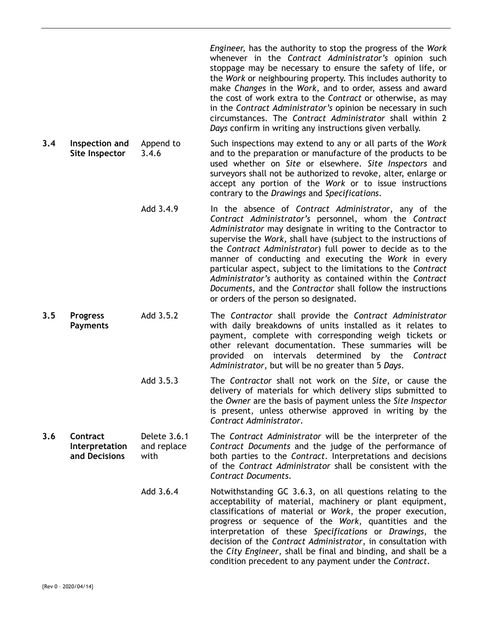*Engineer,* has the authority to stop the progress of the *Work* whenever in the *Contract Administrator's* opinion such stoppage may be necessary to ensure the safety of life, or the *Work* or neighbouring property. This includes authority to make *Changes* in the *Work*, and to order, assess and award the cost of work extra to the *Contract* or otherwise, as may in the *Contract Administrator's* opinion be necessary in such circumstances. The *Contract Administrator* shall within 2 *Days* confirm in writing any instructions given verbally.

- **3.4 Inspection and Site Inspector**  Append to 3.4.6 Such inspections may extend to any or all parts of the *Work* and to the preparation or manufacture of the products to be used whether on *Site* or elsewhere. *Site Inspectors* and surveyors shall not be authorized to revoke, alter, enlarge or accept any portion of the *Work* or to issue instructions contrary to the *Drawings* and *Specifications*.
	- Add 3.4.9 In the absence of *Contract Administrator*, any of the *Contract Administrator's* personnel, whom the *Contract Administrator* may designate in writing to the Contractor to supervise the *Work*, shall have (subject to the instructions of the *Contract Administrator*) full power to decide as to the manner of conducting and executing the *Work* in every particular aspect, subject to the limitations to the *Contract Administrator's* authority as contained within the *Contract Documents*, and the *Contractor* shall follow the instructions or orders of the person so designated.
- **3.5 Progress Payments**  Add 3.5.2 The *Contractor* shall provide the *Contract Administrator* with daily breakdowns of units installed as it relates to payment, complete with corresponding weigh tickets or other relevant documentation. These summaries will be provided on intervals determined by the *Contract Administrator*, but will be no greater than 5 *Days*.
	- Add 3.5.3 The *Contractor* shall not work on the *Site*, or cause the delivery of materials for which delivery slips submitted to the *Owner* are the basis of payment unless the *Site Inspector* is present, unless otherwise approved in writing by the *Contract Administrator*.
- **3.6 Contract Interpretation and Decisions**  Delete 3.6.1 and replace with The *Contract Administrator* will be the interpreter of the *Contract Documents* and the judge of the performance of both parties to the *Contract*. Interpretations and decisions of the *Contract Administrator* shall be consistent with the *Contract Documents*.
	- Add 3.6.4 Notwithstanding GC 3.6.3, on all questions relating to the acceptability of material, machinery or plant equipment, classifications of material or *Work*, the proper execution, progress or sequence of the *Work*, quantities and the interpretation of these *Specifications* or *Drawings*, the decision of the *Contract Administrator*, in consultation with the *City Engineer*, shall be final and binding, and shall be a condition precedent to any payment under the *Contract*.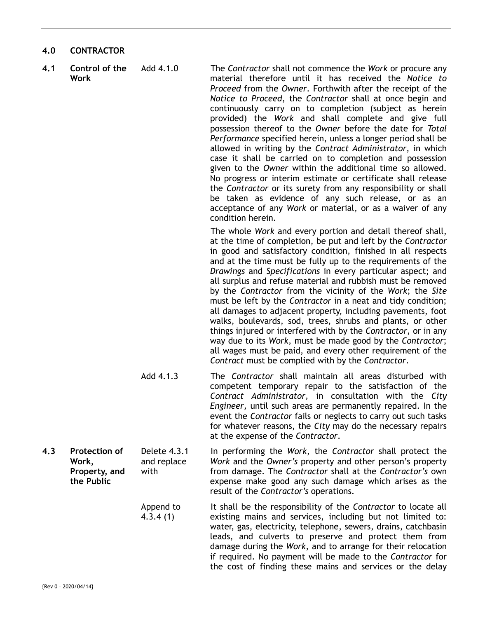### **4.0 CONTRACTOR**

**4.1 Control of the Work** 

Add 4.1.0 The *Contractor* shall not commence the *Work* or procure any material therefore until it has received the *Notice to Proceed* from the *Owner*. Forthwith after the receipt of the *Notice to Proceed*, the *Contractor* shall at once begin and continuously carry on to completion (subject as herein provided) the *Work* and shall complete and give full possession thereof to the *Owner* before the date for *Total Performance* specified herein, unless a longer period shall be allowed in writing by the *Contract Administrator*, in which case it shall be carried on to completion and possession given to the *Owner* within the additional time so allowed. No progress or interim estimate or certificate shall release the *Contractor* or its surety from any responsibility or shall be taken as evidence of any such release, or as an acceptance of any *Work* or material, or as a waiver of any condition herein.

> The whole *Work* and every portion and detail thereof shall, at the time of completion, be put and left by the *Contractor* in good and satisfactory condition, finished in all respects and at the time must be fully up to the requirements of the *Drawings* and *Specifications* in every particular aspect; and all surplus and refuse material and rubbish must be removed by the *Contractor* from the vicinity of the *Work*; the *Site* must be left by the *Contractor* in a neat and tidy condition; all damages to adjacent property, including pavements, foot walks, boulevards, sod, trees, shrubs and plants, or other things injured or interfered with by the *Contractor*, or in any way due to its *Work*, must be made good by the *Contractor*; all wages must be paid, and every other requirement of the *Contract* must be complied with by the *Contractor*.

- Add 4.1.3 The *Contractor* shall maintain all areas disturbed with competent temporary repair to the satisfaction of the *Contract Administrator,* in consultation with the *City Engineer,* until such areas are permanently repaired. In the event the *Contractor* fails or neglects to carry out such tasks for whatever reasons, the *City* may do the necessary repairs at the expense of the *Contractor*.
- **4.3 Protection of Work, Property, and the Public**  Delete 4.3.1 and replace with In performing the *Work,* the *Contractor* shall protect the *Work* and the *Owner's* property and other person's property from damage. The *Contractor* shall at the *Contractor's* own expense make good any such damage which arises as the result of the *Contractor's* operations.
	- Append to 4.3.4 (1) It shall be the responsibility of the *Contractor* to locate all existing mains and services, including but not limited to: water, gas, electricity, telephone, sewers, drains, catchbasin leads, and culverts to preserve and protect them from damage during the *Work*, and to arrange for their relocation if required. No payment will be made to the *Contractor* for the cost of finding these mains and services or the delay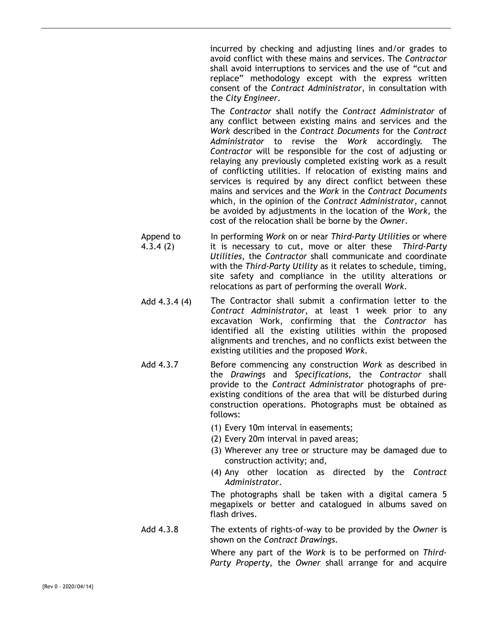incurred by checking and adjusting lines and/or grades to avoid conflict with these mains and services. The *Contractor* shall avoid interruptions to services and the use of "cut and replace" methodology except with the express written consent of the *Contract Administrator,* in consultation with the *City Engineer*.

The *Contractor* shall notify the *Contract Administrator* of any conflict between existing mains and services and the *Work* described in the *Contract Documents* for the *Contract Administrator* to revise the *Work* accordingly. The *Contractor* will be responsible for the cost of adjusting or relaying any previously completed existing work as a result of conflicting utilities. If relocation of existing mains and services is required by any direct conflict between these mains and services and the *Work* in the *Contract Documents* which, in the opinion of the *Contract Administrator*, cannot be avoided by adjustments in the location of the *Work*, the cost of the relocation shall be borne by the *Owner*.

- Append to 4.3.4 (2) In performing *Work* on or near *Third-Party Utilities* or where it is necessary to cut, move or alter these *Third-Party Utilities*, the *Contractor* shall communicate and coordinate with the *Third-Party Utility* as it relates to schedule, timing, site safety and compliance in the utility alterations or relocations as part of performing the overall *Work*.
	- Add 4.3.4 (4) The Contractor shall submit a confirmation letter to the *Contract Administrator*, at least 1 week prior to any excavation Work, confirming that the *Contractor* has identified all the existing utilities within the proposed alignments and trenches, and no conflicts exist between the existing utilities and the proposed *Work*.
	- Add 4.3.7 Before commencing any construction *Work* as described in the *Drawings* and *Specifications*, the *Contractor* shall provide to the *Contract Administrator* photographs of preexisting conditions of the area that will be disturbed during construction operations. Photographs must be obtained as follows:
		- (1) Every 10m interval in easements;
		- (2) Every 20m interval in paved areas;
		- (3) Wherever any tree or structure may be damaged due to construction activity; and,
		- (4) Any other location as directed by the *Contract Administrator*.

The photographs shall be taken with a digital camera 5 megapixels or better and catalogued in albums saved on flash drives.

Add 4.3.8 The extents of rights-of-way to be provided by the *Owner* is shown on the *Contract Drawings*.

> Where any part of the *Work* is to be performed on *Third-Party Property*, the *Owner* shall arrange for and acquire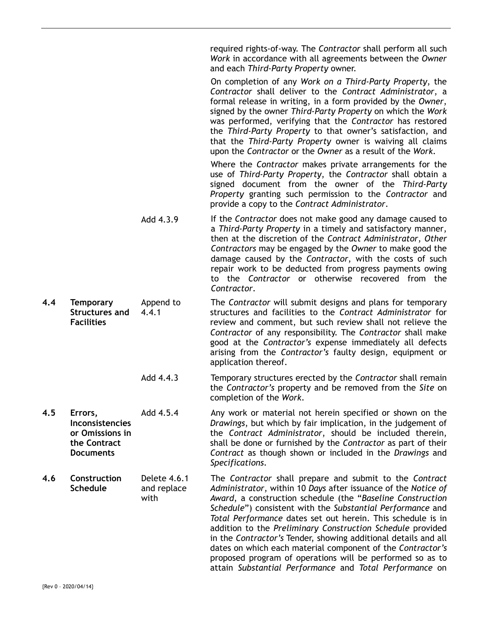required rights-of-way. The *Contractor* shall perform all such *Work* in accordance with all agreements between the *Owner* and each *Third-Party Property* owner.

On completion of any *Work on a Third-Party Property*, the *Contractor* shall deliver to the *Contract Administrator*, a formal release in writing, in a form provided by the *Owner*, signed by the owner *Third-Party Property* on which the *Work* was performed, verifying that the *Contractor* has restored the *Third-Party Property* to that owner's satisfaction, and that the *Third-Party Property* owner is waiving all claims upon the *Contractor* or the *Owner* as a result of the *Work*.

Where the *Contractor* makes private arrangements for the use of *Third-Party Property*, the *Contractor* shall obtain a signed document from the owner of the *Third-Party Property* granting such permission to the *Contractor* and provide a copy to the *Contract Administrator*.

- Add 4.3.9 If the *Contractor* does not make good any damage caused to a *Third-Party Property* in a timely and satisfactory manner, then at the discretion of the *Contract Administrator*, *Other Contractors* may be engaged by the *Owner* to make good the damage caused by the *Contractor*, with the costs of such repair work to be deducted from progress payments owing to the *Contractor* or otherwise recovered from the *Contractor*.
- **4.4 Temporary Structures and Facilities**  Append to 4.4.1 The *Contractor* will submit designs and plans for temporary structures and facilities to the *Contract Administrator* for review and comment, but such review shall not relieve the *Contractor* of any responsibility. The *Contractor* shall make good at the *Contractor's* expense immediately all defects arising from the *Contractor's* faulty design, equipment or application thereof.
	- Add 4.4.3 Temporary structures erected by the *Contractor* shall remain the *Contractor's* property and be removed from the *Site* on completion of the *Work*.
- **4.5 Errors, Inconsistencies or Omissions in the Contract Documents**  Add 4.5.4 Any work or material not herein specified or shown on the *Drawings*, but which by fair implication, in the judgement of the *Contract Administrator*, should be included therein, shall be done or furnished by the *Contractor* as part of their *Contract* as though shown or included in the *Drawings* and *Specifications*.

**4.6 Construction Schedule**  Delete 4.6.1 and replace with The *Contractor* shall prepare and submit to the *Contract Administrator*, within 10 *Days* after issuance of the *Notice of Award*, a construction schedule (the "*Baseline Construction Schedule*") consistent with the *Substantial Performance* and *Total Performance* dates set out herein. This schedule is in addition to the *Preliminary Construction Schedule* provided in the *Contractor's* Tender, showing additional details and all dates on which each material component of the *Contractor's* proposed program of operations will be performed so as to attain *Substantial Performance* and *Total Performance* on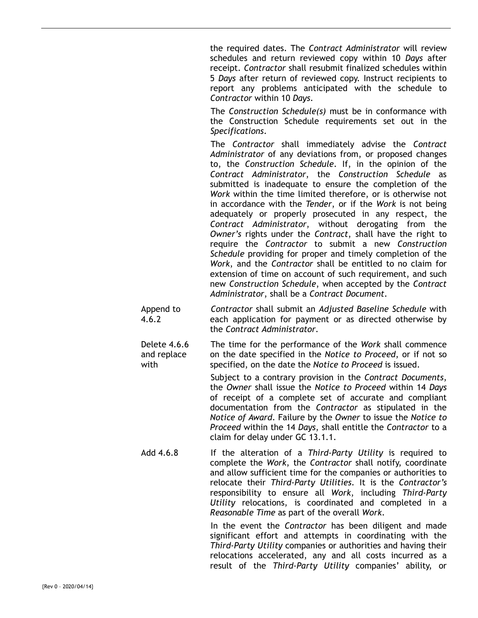the required dates. The *Contract Administrator* will review schedules and return reviewed copy within 10 *Days* after receipt. *Contractor* shall resubmit finalized schedules within 5 *Days* after return of reviewed copy. Instruct recipients to report any problems anticipated with the schedule to *Contractor* within 10 *Days*.

The *Construction Schedule(s)* must be in conformance with the Construction Schedule requirements set out in the *Specifications*.

The *Contractor* shall immediately advise the *Contract Administrator* of any deviations from, or proposed changes to, the *Construction Schedule*. If, in the opinion of the *Contract Administrator*, the *Construction Schedule* as submitted is inadequate to ensure the completion of the *Work* within the time limited therefore, or is otherwise not in accordance with the *Tender*, or if the *Work* is not being adequately or properly prosecuted in any respect, the *Contract Administrator*, without derogating from the *Owner's* rights under the *Contract*, shall have the right to require the *Contractor* to submit a new *Construction Schedule* providing for proper and timely completion of the *Work*, and the *Contractor* shall be entitled to no claim for extension of time on account of such requirement, and such new *Construction Schedule*, when accepted by the *Contract Administrator*, shall be a *Contract Document*.

Append to 4.6.2 *Contractor* shall submit an *Adjusted Baseline Schedule* with each application for payment or as directed otherwise by the *Contract Administrator*.

Delete 4.6.6 and replace with The time for the performance of the *Work* shall commence on the date specified in the *Notice to Proceed*, or if not so specified, on the date the *Notice to Proceed* is issued.

> Subject to a contrary provision in the *Contract Documents*, the *Owner* shall issue the *Notice to Proceed* within 14 *Days* of receipt of a complete set of accurate and compliant documentation from the *Contractor* as stipulated in the *Notice of Award*. Failure by the *Owner* to issue the *Notice to Proceed* within the 14 *Days*, shall entitle the *Contractor* to a claim for delay under GC 13.1.1.

Add 4.6.8 If the alteration of a *Third-Party Utility* is required to complete the *Work*, the *Contractor* shall notify, coordinate and allow sufficient time for the companies or authorities to relocate their *Third-Party Utilities*. It is the *Contractor's*  responsibility to ensure all *Work*, including *Third-Party Utility* relocations, is coordinated and completed in a *Reasonable Time* as part of the overall *Work*.

> In the event the *Contractor* has been diligent and made significant effort and attempts in coordinating with the *Third-Party Utility* companies or authorities and having their relocations accelerated, any and all costs incurred as a result of the *Third-Party Utility* companies' ability, or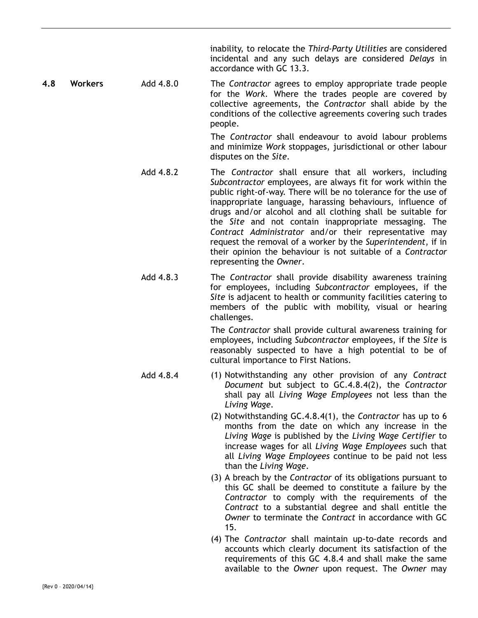inability, to relocate the *Third-Party Utilities* are considered incidental and any such delays are considered *Delays* in accordance with GC 13.3.

**4.8 Workers** Add 4.8.0 The *Contractor* agrees to employ appropriate trade people for the *Work*. Where the trades people are covered by collective agreements, the *Contractor* shall abide by the conditions of the collective agreements covering such trades people.

> The *Contractor* shall endeavour to avoid labour problems and minimize *Work* stoppages, jurisdictional or other labour disputes on the *Site*.

- Add 4.8.2 The *Contractor* shall ensure that all workers, including *Subcontractor* employees, are always fit for work within the public right-of-way. There will be no tolerance for the use of inappropriate language, harassing behaviours, influence of drugs and/or alcohol and all clothing shall be suitable for the *Site* and not contain inappropriate messaging. The *Contract Administrator* and/or their representative may request the removal of a worker by the *Superintendent*, if in their opinion the behaviour is not suitable of a *Contractor* representing the *Owner*.
- Add 4.8.3 The *Contractor* shall provide disability awareness training for employees, including *Subcontractor* employees, if the *Site* is adjacent to health or community facilities catering to members of the public with mobility, visual or hearing challenges.

The *Contractor* shall provide cultural awareness training for employees, including *Subcontractor* employees, if the *Site* is reasonably suspected to have a high potential to be of cultural importance to First Nations.

- Add 4.8.4 (1) Notwithstanding any other provision of any *Contract Document* but subject to GC.4.8.4(2), the *Contractor* shall pay all *Living Wage Employees* not less than the *Living Wage*.
	- (2) Notwithstanding GC.4.8.4(1), the *Contractor* has up to 6 months from the date on which any increase in the *Living Wage* is published by the *Living Wage Certifier* to increase wages for all *Living Wage Employees* such that all *Living Wage Employees* continue to be paid not less than the *Living Wage*.
	- (3) A breach by the *Contractor* of its obligations pursuant to this GC shall be deemed to constitute a failure by the *Contractor* to comply with the requirements of the *Contract* to a substantial degree and shall entitle the *Owner* to terminate the *Contract* in accordance with GC 15.
	- (4) The *Contractor* shall maintain up-to-date records and accounts which clearly document its satisfaction of the requirements of this GC 4.8.4 and shall make the same available to the *Owner* upon request. The *Owner* may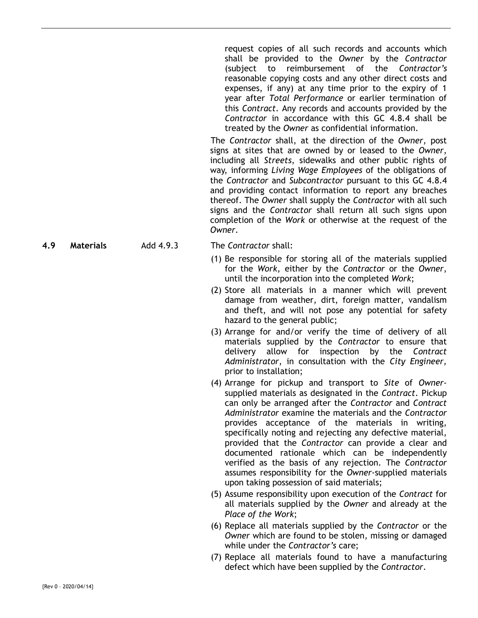request copies of all such records and accounts which shall be provided to the *Owner* by the *Contractor* (subject to reimbursement of the *Contractor's* reasonable copying costs and any other direct costs and expenses, if any) at any time prior to the expiry of 1 year after *Total Performance* or earlier termination of this *Contract*. Any records and accounts provided by the *Contractor* in accordance with this GC 4.8.4 shall be treated by the *Owner* as confidential information.

The *Contractor* shall, at the direction of the *Owner*, post signs at sites that are owned by or leased to the *Owner*, including all *Streets*, sidewalks and other public rights of way, informing *Living Wage Employees* of the obligations of the *Contractor* and *Subcontractor* pursuant to this GC 4.8.4 and providing contact information to report any breaches thereof. The *Owner* shall supply the *Contractor* with all such signs and the *Contractor* shall return all such signs upon completion of the *Work* or otherwise at the request of the *Owner*.

**4.9 Materials** Add 4.9.3 The *Contractor* shall:

- (1) Be responsible for storing all of the materials supplied for the *Work*, either by the *Contractor* or the *Owner*, until the incorporation into the completed *Work*;
- (2) Store all materials in a manner which will prevent damage from weather, dirt, foreign matter, vandalism and theft, and will not pose any potential for safety hazard to the general public;
- (3) Arrange for and/or verify the time of delivery of all materials supplied by the *Contractor* to ensure that delivery allow for inspection by the *Contract Administrator*, in consultation with the *City Engineer,* prior to installation;
- (4) Arrange for pickup and transport to *Site* of *Owner*supplied materials as designated in the *Contract*. Pickup can only be arranged after the *Contractor* and *Contract Administrator* examine the materials and the *Contractor* provides acceptance of the materials in writing, specifically noting and rejecting any defective material, provided that the *Contractor* can provide a clear and documented rationale which can be independently verified as the basis of any rejection. The *Contractor* assumes responsibility for the *Owner*-supplied materials upon taking possession of said materials;
- (5) Assume responsibility upon execution of the *Contract* for all materials supplied by the *Owner* and already at the *Place of the Work*;
- (6) Replace all materials supplied by the *Contractor* or the *Owner* which are found to be stolen, missing or damaged while under the *Contractor's* care;
- (7) Replace all materials found to have a manufacturing defect which have been supplied by the *Contractor*.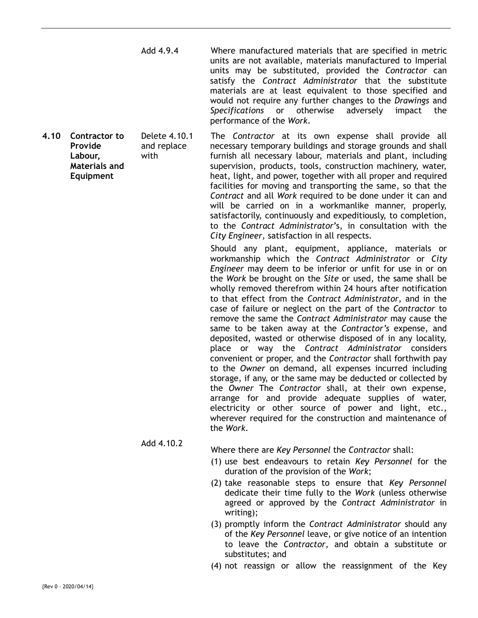Add 4.9.4 Where manufactured materials that are specified in metric units are not available, materials manufactured to Imperial units may be substituted, provided the *Contractor* can satisfy the *Contract Administrator* that the substitute materials are at least equivalent to those specified and would not require any further changes to the *Drawings* and *Specifications* or otherwise adversely impact the performance of the *Work*.

*City Engineer,* satisfaction in all respects.

**Provide Labour, Materials and Equipment**  Delete 4.10.1 and replace with The *Contractor* at its own expense shall provide all necessary temporary buildings and storage grounds and shall furnish all necessary labour, materials and plant, including supervision, products, tools, construction machinery, water, heat, light, and power, together with all proper and required facilities for moving and transporting the same, so that the *Contract* and all *Work* required to be done under it can and will be carried on in a workmanlike manner, properly, satisfactorily, continuously and expeditiously, to completion, to the *Contract Administrator*'s, in consultation with the

> Should any plant, equipment, appliance, materials or workmanship which the *Contract Administrator* or *City Engineer* may deem to be inferior or unfit for use in or on the *Work* be brought on the *Site* or used, the same shall be wholly removed therefrom within 24 hours after notification to that effect from the *Contract Administrator*, and in the case of failure or neglect on the part of the *Contractor* to remove the same the *Contract Administrator* may cause the same to be taken away at the *Contractor's* expense, and deposited, wasted or otherwise disposed of in any locality, place or way the *Contract Administrator* considers convenient or proper, and the *Contractor* shall forthwith pay to the *Owner* on demand, all expenses incurred including storage, if any, or the same may be deducted or collected by the *Owner* The *Contractor* shall, at their own expense, arrange for and provide adequate supplies of water, electricity or other source of power and light, etc., wherever required for the construction and maintenance of the *Work*.

Add 4.10.2 Where there are *Key Personnel* the *Contractor* shall:

- (1) use best endeavours to retain *Key Personnel* for the duration of the provision of the *Work*;
- (2) take reasonable steps to ensure that *Key Personnel* dedicate their time fully to the *Work* (unless otherwise agreed or approved by the *Contract Administrator* in writing);
- (3) promptly inform the *Contract Administrator* should any of the *Key Personnel* leave, or give notice of an intention to leave the *Contractor*, and obtain a substitute or substitutes; and
- (4) not reassign or allow the reassignment of the Key

**4.10 Contractor to** 

{Rev 0 – 2020/04/14}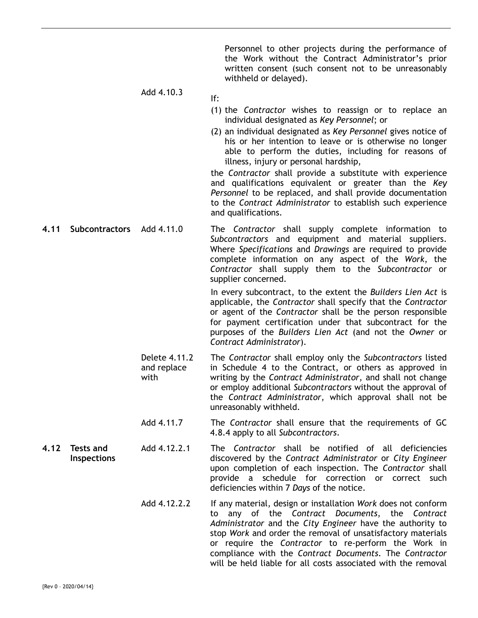Personnel to other projects during the performance of the Work without the Contract Administrator's prior written consent (such consent not to be unreasonably withheld or delayed).

# Add 4.10.3

- (1) the *Contractor* wishes to reassign or to replace an individual designated as *Key Personnel*; or
- (2) an individual designated as *Key Personnel* gives notice of his or her intention to leave or is otherwise no longer able to perform the duties, including for reasons of illness, injury or personal hardship,

the *Contractor* shall provide a substitute with experience and qualifications equivalent or greater than the *Key Personnel* to be replaced, and shall provide documentation to the *Contract Administrator* to establish such experience and qualifications.

**4.11 Subcontractors** Add 4.11.0 The *Contractor* shall supply complete information to *Subcontractors* and equipment and material suppliers. Where *Specifications* and *Drawings* are required to provide complete information on any aspect of the *Work*, the *Contractor* shall supply them to the *Subcontractor* or supplier concerned.

> In every subcontract, to the extent the *Builders Lien Act* is applicable, the *Contractor* shall specify that the *Contractor* or agent of the *Contractor* shall be the person responsible for payment certification under that subcontract for the purposes of the *Builders Lien Act* (and not the *Owner* or *Contract Administrator*).

- Delete 4.11.2 and replace with The *Contractor* shall employ only the *Subcontractors* listed in Schedule 4 to the Contract, or others as approved in writing by the *Contract Administrator*, and shall not change or employ additional *Subcontractors* without the approval of the *Contract Administrator*, which approval shall not be unreasonably withheld.
- Add 4.11.7 The *Contractor* shall ensure that the requirements of GC 4.8.4 apply to all *Subcontractors*.
- **4.12 Tests and Inspections**  Add 4.12.2.1 The *Contractor* shall be notified of all deficiencies discovered by the *Contract Administrator* or *City Engineer* upon completion of each inspection. The *Contractor* shall provide a schedule for correction or correct such deficiencies within 7 *Days* of the notice.
	- Add 4.12.2.2 If any material, design or installation *Work* does not conform to any of the *Contract Documents*, the *Contract Administrator* and the *City Engineer* have the authority to stop *Work* and order the removal of unsatisfactory materials or require the *Contractor* to re-perform the Work in compliance with the *Contract Documents*. The *Contractor* will be held liable for all costs associated with the removal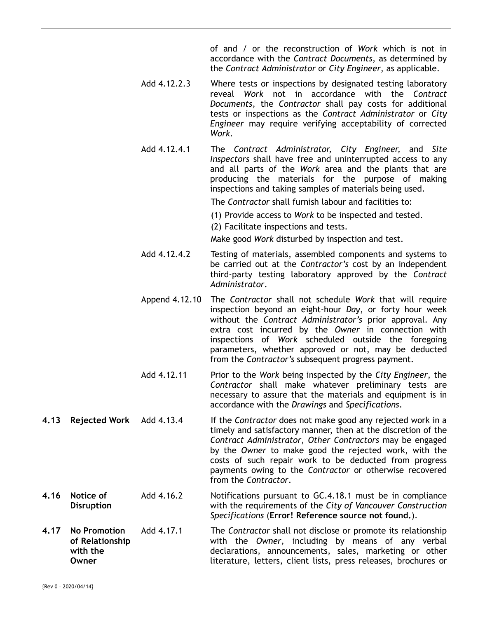of and / or the reconstruction of *Work* which is not in accordance with the *Contract Documents*, as determined by the *Contract Administrator* or *City Engineer*, as applicable.

- Add 4.12.2.3 Where tests or inspections by designated testing laboratory reveal *Work* not in accordance with the *Contract Documents*, the *Contractor* shall pay costs for additional tests or inspections as the *Contract Administrator* or *City Engineer* may require verifying acceptability of corrected *Work*.
- Add 4.12.4.1 The *Contract Administrator, City Engineer,* and *Site Inspectors* shall have free and uninterrupted access to any and all parts of the *Work* area and the plants that are producing the materials for the purpose of making inspections and taking samples of materials being used.

The *Contractor* shall furnish labour and facilities to:

(1) Provide access to *Work* to be inspected and tested.

(2) Facilitate inspections and tests.

Make good *Work* disturbed by inspection and test.

- Add 4.12.4.2 Testing of materials, assembled components and systems to be carried out at the *Contractor's* cost by an independent third-party testing laboratory approved by the *Contract Administrator*.
- Append 4.12.10 The *Contractor* shall not schedule *Work* that will require inspection beyond an eight-hour *Day*, or forty hour week without the *Contract Administrator's* prior approval. Any extra cost incurred by the *Owner* in connection with inspections of *Work* scheduled outside the foregoing parameters, whether approved or not, may be deducted from the *Contractor's* subsequent progress payment.
- Add 4.12.11 Prior to the *Work* being inspected by the *City Engineer*, the *Contractor* shall make whatever preliminary tests are necessary to assure that the materials and equipment is in accordance with the *Drawings* and *Specifications*.
- **4.13 Rejected Work** Add 4.13.4 If the *Contractor* does not make good any rejected work in a timely and satisfactory manner, then at the discretion of the *Contract Administrator*, *Other Contractors* may be engaged by the *Owner* to make good the rejected work, with the costs of such repair work to be deducted from progress payments owing to the *Contractor* or otherwise recovered from the *Contractor*.
- **4.16 Notice of Disruption**  Add 4.16.2 Notifications pursuant to GC.4.18.1 must be in compliance with the requirements of the *City of Vancouver Construction Specifications* (**Error! Reference source not found.**).
- **4.17 No Promotion of Relationship with the Owner**  Add 4.17.1 The *Contractor* shall not disclose or promote its relationship with the *Owner*, including by means of any verbal declarations, announcements, sales, marketing or other literature, letters, client lists, press releases, brochures or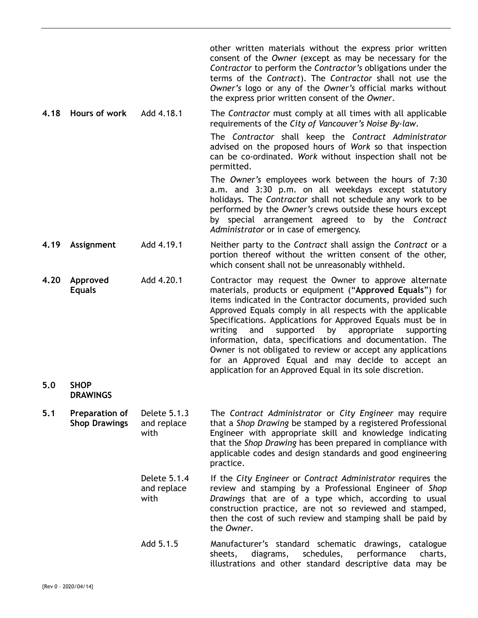other written materials without the express prior written consent of the *Owner* (except as may be necessary for the *Contractor* to perform the *Contractor's* obligations under the terms of the *Contract*). The *Contractor* shall not use the *Owner's* logo or any of the *Owner's* official marks without the express prior written consent of the *Owner*. **4.18 Hours of work** Add 4.18.1 The *Contractor* must comply at all times with all applicable requirements of the *City of Vancouver's Noise By-law*. The *Contractor* shall keep the *Contract Administrator* advised on the proposed hours of *Work* so that inspection can be co-ordinated. *Work* without inspection shall not be permitted. The *Owner's* employees work between the hours of 7:30 a.m. and 3:30 p.m. on all weekdays except statutory holidays. The *Contractor* shall not schedule any work to be performed by the *Owner's* crews outside these hours except by special arrangement agreed to by the *Contract Administrator* or in case of emergency. **4.19 Assignment** Add 4.19.1 Neither party to the *Contract* shall assign the *Contract* or a portion thereof without the written consent of the other, which consent shall not be unreasonably withheld. **4.20 Approved Equals**  Add 4.20.1 Contractor may request the Owner to approve alternate materials, products or equipment ("**Approved Equals**") for items indicated in the Contractor documents, provided such Approved Equals comply in all respects with the applicable Specifications. Applications for Approved Equals must be in writing and supported by appropriate supporting information, data, specifications and documentation. The Owner is not obligated to review or accept any applications for an Approved Equal and may decide to accept an application for an Approved Equal in its sole discretion. **5.0 SHOP DRAWINGS 5.1 Preparation of Shop Drawings**  Delete 5.1.3 and replace with The *Contract Administrator* or *City Engineer* may require that a *Shop Drawing* be stamped by a registered Professional Engineer with appropriate skill and knowledge indicating that the *Shop Drawing* has been prepared in compliance with applicable codes and design standards and good engineering practice. Delete 5.1.4 and replace with If the *City Engineer* or *Contract Administrator* requires the review and stamping by a Professional Engineer of *Shop Drawings* that are of a type which, according to usual construction practice, are not so reviewed and stamped, then the cost of such review and stamping shall be paid by

the *Owner*.

Add 5.1.5 Manufacturer's standard schematic drawings, catalogue sheets, diagrams, schedules, performance charts, illustrations and other standard descriptive data may be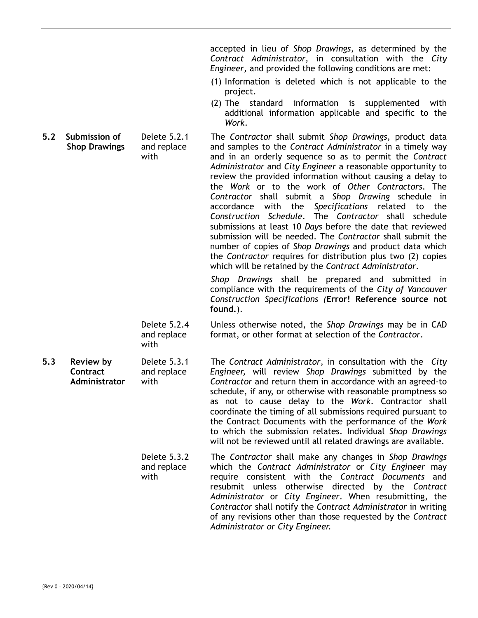accepted in lieu of *Shop Drawings*, as determined by the *Contract Administrator,* in consultation with the *City Engineer,* and provided the following conditions are met:

- (1) Information is deleted which is not applicable to the project.
- (2) The standard information is supplemented with additional information applicable and specific to the *Work*.
- **Shop Drawings**  Delete 5.2.1 and replace with The *Contractor* shall submit *Shop Drawings*, product data and samples to the *Contract Administrator* in a timely way and in an orderly sequence so as to permit the *Contract Administrator* and *City Engineer* a reasonable opportunity to review the provided information without causing a delay to the *Work* or to the work of *Other Contractors*. The *Contractor* shall submit a *Shop Drawing* schedule in accordance with the *Specifications* related to the *Construction Schedule*. The *Contractor* shall schedule submissions at least 10 *Days* before the date that reviewed submission will be needed. The *Contractor* shall submit the number of copies of *Shop Drawings* and product data which the *Contractor* requires for distribution plus two (2) copies which will be retained by the *Contract Administrator*.

*Shop Drawings* shall be prepared and submitted in compliance with the requirements of the *City of Vancouver Construction Specifications (***Error! Reference source not found.**).

Delete 5.2.4 and replace with Unless otherwise noted, the *Shop Drawings* may be in CAD format, or other format at selection of the *Contractor*.

**5.3 Review by Contract Administrator**  Delete 5.3.1 and replace with The *Contract Administrator*, in consultation with the *City Engineer,* will review *Shop Drawings* submitted by the *Contractor* and return them in accordance with an agreed-to schedule, if any, or otherwise with reasonable promptness so as not to cause delay to the *Work*. Contractor shall coordinate the timing of all submissions required pursuant to the Contract Documents with the performance of the *Work* to which the submission relates. Individual *Shop Drawings* will not be reviewed until all related drawings are available.

> Delete 5.3.2 and replace with The *Contractor* shall make any changes in *Shop Drawings* which the *Contract Administrator* or *City Engineer* may require consistent with the *Contract Documents* and resubmit unless otherwise directed by the *Contract Administrator* or *City Engineer*. When resubmitting, the *Contractor* shall notify the *Contract Administrator* in writing of any revisions other than those requested by the *Contract Administrator or City Engineer.*

**5.2 Submission of** 

{Rev 0 – 2020/04/14}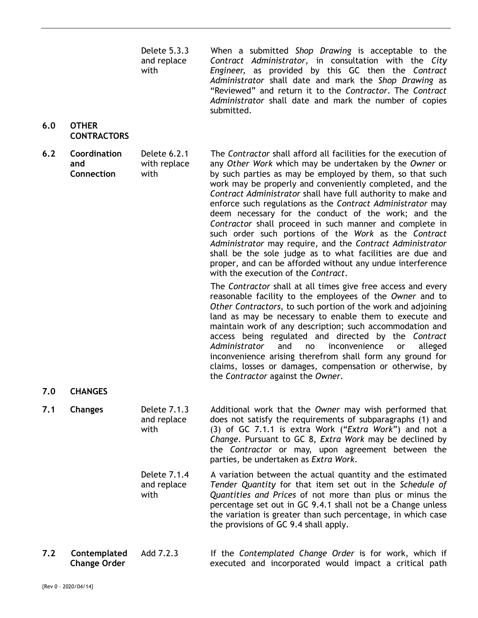Delete 5.3.3 and replace with When a submitted *Shop Drawing* is acceptable to the *Contract Administrator*, in consultation with the *City Engineer,* as provided by this GC then the *Contract Administrator* shall date and mark the *Shop Drawing* as "Reviewed" and return it to the *Contractor*. The *Contract Administrator* shall date and mark the number of copies submitted. **6.0 OTHER CONTRACTORS 6.2 Coordination and Connection**  Delete 6.2.1 with replace with The *Contractor* shall afford all facilities for the execution of any *Other Work* which may be undertaken by the *Owner* or by such parties as may be employed by them, so that such work may be properly and conveniently completed, and the *Contract Administrator* shall have full authority to make and enforce such regulations as the *Contract Administrator* may deem necessary for the conduct of the work; and the *Contractor* shall proceed in such manner and complete in such order such portions of the *Work* as the *Contract Administrator* may require, and the *Contract Administrator* shall be the sole judge as to what facilities are due and proper, and can be afforded without any undue interference with the execution of the *Contract*. The *Contractor* shall at all times give free access and every reasonable facility to the employees of the *Owner* and to *Other Contractors*, to such portion of the work and adjoining land as may be necessary to enable them to execute and maintain work of any description; such accommodation and access being regulated and directed by the *Contract Administrator* and no inconvenience or alleged inconvenience arising therefrom shall form any ground for claims, losses or damages, compensation or otherwise, by the *Contractor* against the *Owner*. **7.0 CHANGES 7.1 Changes** Delete 7.1.3 and replace with Additional work that the *Owner* may wish performed that does not satisfy the requirements of subparagraphs (1) and (3) of GC 7.1.1 is extra Work ("*Extra Work*") and not a *Change*. Pursuant to GC 8, *Extra Work* may be declined by the *Contractor* or may, upon agreement between the parties, be undertaken as *Extra Work*. Delete 7.1.4 and replace with A variation between the actual quantity and the estimated *Tender Quantity* for that item set out in the *Schedule of Quantities and Prices* of not more than plus or minus the

**7.2 Contemplated Change Order**  Add 7.2.3 If the *Contemplated Change Order* is for work, which if executed and incorporated would impact a critical path

the provisions of GC 9.4 shall apply.

percentage set out in GC 9.4.1 shall not be a Change unless the variation is greater than such percentage, in which case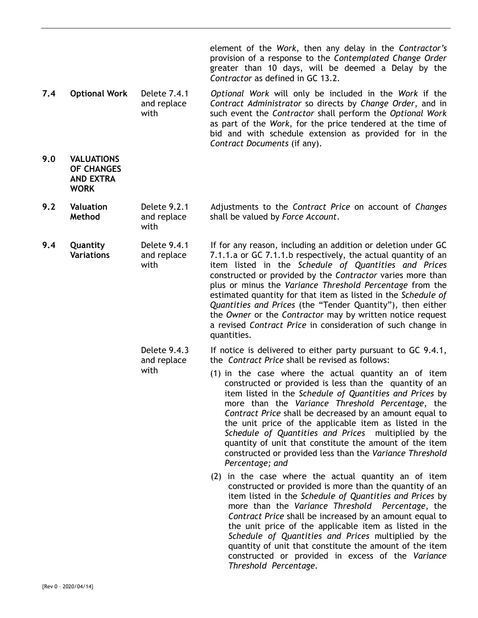element of the *Work*, then any delay in the *Contractor's* provision of a response to the *Contemplated Change Order* greater than 10 days, will be deemed a Delay by the *Contractor* as defined in GC 13.2.

- **7.4 Optional Work** Delete 7.4.1 and replace with *Optional Work* will only be included in the *Work* if the *Contract Administrator* so directs by *Change Order*, and in such event the *Contractor* shall perform the *Optional Work* as part of the *Work*, for the price tendered at the time of bid and with schedule extension as provided for in the *Contract Documents* (if any).
- **9.0 VALUATIONS OF CHANGES AND EXTRA WORK**
- **9.2 Valuation Method**  Delete 9.2.1 and replace with Adjustments to the *Contract Price* on account of *Changes* shall be valued by *Force Account*.
- **9.4 Quantity Variations**  Delete 9.4.1 and replace with If for any reason, including an addition or deletion under GC 7.1.1.a or GC 7.1.1.b respectively, the actual quantity of an item listed in the *Schedule of Quantities and Prices* constructed or provided by the *Contractor* varies more than plus or minus the *Variance Threshold Percentage* from the estimated quantity for that item as listed in the *Schedule of Quantities and Prices* (the "Tender Quantity"), then either the *Owner* or the *Contractor* may by written notice request a revised *Contract Price* in consideration of such change in quantities.
	- Delete 9.4.3 and replace with If notice is delivered to either party pursuant to GC 9.4.1, the *Contract Price* shall be revised as follows:
		- (1) in the case where the actual quantity an of item constructed or provided is less than the quantity of an item listed in the *Schedule of Quantities and Prices* by more than the *Variance Threshold Percentage*, the *Contract Price* shall be decreased by an amount equal to the unit price of the applicable item as listed in the *Schedule of Quantities and Prices* multiplied by the quantity of unit that constitute the amount of the item constructed or provided less than the *Variance Threshold Percentage; and* 
			- (2) in the case where the actual quantity an of item constructed or provided is more than the quantity of an item listed in the *Schedule of Quantities and Prices* by more than the *Variance Threshold Percentage*, the *Contract Price* shall be increased by an amount equal to the unit price of the applicable item as listed in the *Schedule of Quantities and Prices* multiplied by the quantity of unit that constitute the amount of the item constructed or provided in excess of the *Variance Threshold Percentage.*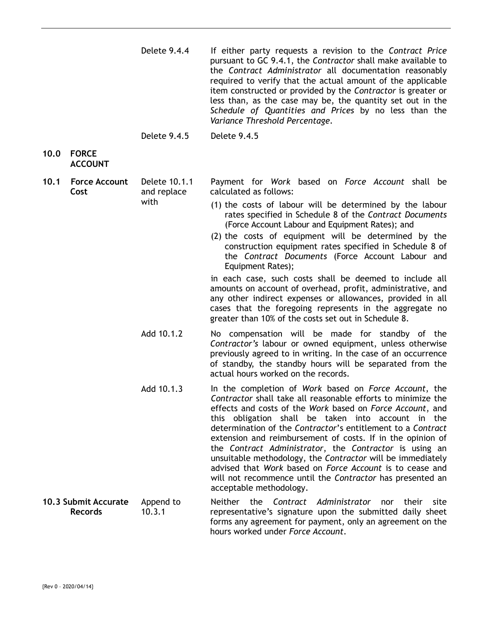- Delete 9.4.4 If either party requests a revision to the *Contract Price* pursuant to GC 9.4.1, the *Contractor* shall make available to the *Contract Administrator* all documentation reasonably required to verify that the actual amount of the applicable item constructed or provided by the *Contractor* is greater or less than, as the case may be, the quantity set out in the *Schedule of Quantities and Prices* by no less than the *Variance Threshold Percentage*.
- Delete 9.4.5 Delete 9.4.5

# **10.0 FORCE ACCOUNT**

**10.1 Force Account Cost**  Delete 10.1.1 and replace with Payment for *Work* based on *Force Account* shall be calculated as follows:

- (1) the costs of labour will be determined by the labour rates specified in Schedule 8 of the *Contract Documents* (Force Account Labour and Equipment Rates); and
- (2) the costs of equipment will be determined by the construction equipment rates specified in Schedule 8 of the *Contract Documents* (Force Account Labour and Equipment Rates);

in each case, such costs shall be deemed to include all amounts on account of overhead, profit, administrative, and any other indirect expenses or allowances, provided in all cases that the foregoing represents in the aggregate no greater than 10% of the costs set out in Schedule 8.

- Add 10.1.2 No compensation will be made for standby of the *Contractor's* labour or owned equipment, unless otherwise previously agreed to in writing. In the case of an occurrence of standby, the standby hours will be separated from the actual hours worked on the records.
- Add 10.1.3 In the completion of *Work* based on *Force Account*, the *Contractor* shall take all reasonable efforts to minimize the effects and costs of the *Work* based on *Force Account*, and this obligation shall be taken into account in the determination of the *Contractor*'s entitlement to a *Contract* extension and reimbursement of costs. If in the opinion of the *Contract Administrator*, the *Contractor* is using an unsuitable methodology, the *Contractor* will be immediately advised that *Work* based on *Force Account* is to cease and will not recommence until the *Contractor* has presented an acceptable methodology.
- **10.3 Submit Accurate Records**  Append to 10.3.1 Neither the *Contract Administrator* nor their site representative's signature upon the submitted daily sheet forms any agreement for payment, only an agreement on the hours worked under *Force Account*.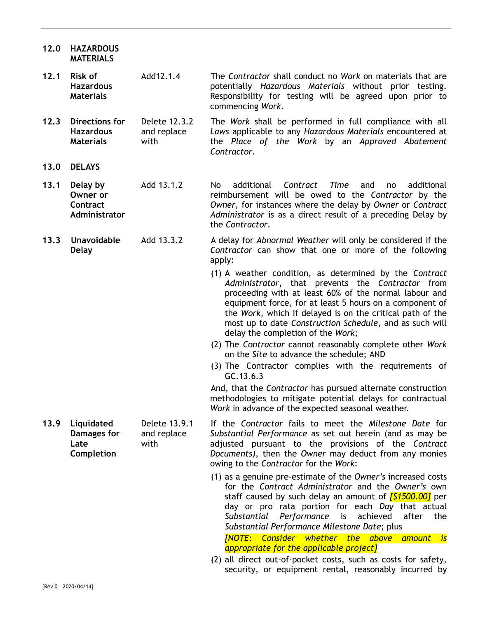- **12.0 HAZARDOUS MATERIALS**
- **12.1 Risk of Hazardous Materials**  Add12.1.4 The *Contractor* shall conduct no *Work* on materials that are potentially *Hazardous Materials* without prior testing. Responsibility for testing will be agreed upon prior to commencing *Work*.
- **12.3 Directions for Hazardous Materials**  Delete 12.3.2 and replace with The *Work* shall be performed in full compliance with all *Laws* applicable to any *Hazardous Materials* encountered at the *Place of the Work* by an *Approved Abatement Contractor*.
- **13.0 DELAYS**
- **13.1 Delay by Owner or Contract Administrator**  Add 13.1.2 No additional *Contract Time* and no additional reimbursement will be owed to the *Contractor* by the *Owner*, for instances where the delay by *Owner* or *Contract Administrator* is as a direct result of a preceding Delay by the *Contractor*.
- **Delay**  Add 13.3.2 A delay for *Abnormal Weather* will only be considered if the *Contractor* can show that one or more of the following apply:
	- (1) A weather condition, as determined by the *Contract Administrator*, that prevents the *Contractor* from proceeding with at least 60% of the normal labour and equipment force, for at least 5 hours on a component of the *Work*, which if delayed is on the critical path of the most up to date *Construction Schedule*, and as such will delay the completion of the *Work*;
	- (2) The *Contractor* cannot reasonably complete other *Work* on the *Site* to advance the schedule; AND
	- (3) The Contractor complies with the requirements of GC.13.6.3

And, that the *Contractor* has pursued alternate construction methodologies to mitigate potential delays for contractual *Work* in advance of the expected seasonal weather.

- **Damages for Late Completion**  Delete 13.9.1 and replace with If the *Contractor* fails to meet the *Milestone Date* for *Substantial Performance* as set out herein (and as may be adjusted pursuant to the provisions of the *Contract Documents)*, then the *Owner* may deduct from any monies owing to the *Contractor* for the *Work*:
	- (1) as a genuine pre-estimate of the *Owner's* increased costs for the *Contract Administrator* and the *Owner's* own staff caused by such delay an amount of *[\$1500.00]* per day or pro rata portion for each *Day* that actual *Substantial Performance* is achieved after the *Substantial Performance Milestone Date*; plus *[NOTE: Consider whether the above amount is appropriate for the applicable project]*
	- (2) all direct out-of-pocket costs, such as costs for safety, security, or equipment rental, reasonably incurred by

**13.9 Liquidated** 

**13.3 Unavoidable**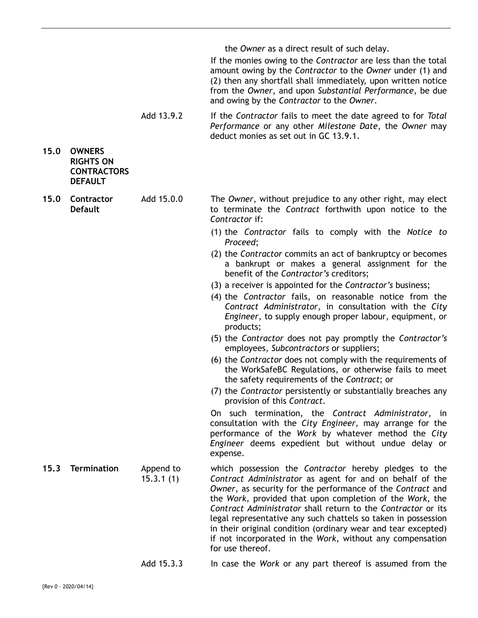the *Owner* as a direct result of such delay.

If the monies owing to the *Contractor* are less than the total amount owing by the *Contractor* to the *Owner* under (1) and (2) then any shortfall shall immediately, upon written notice from the *Owner*, and upon *Substantial Performance*, be due and owing by the *Contractor* to the *Owner*.

Add 13.9.2 If the *Contractor* fails to meet the date agreed to for *Total Performance* or any other *Milestone Date*, the *Owner* may deduct monies as set out in GC 13.9.1.

- **15.0 OWNERS RIGHTS ON CONTRACTORS DEFAULT**
- **15.0 Contractor Default**  Add 15.0.0 The *Owner*, without prejudice to any other right, may elect to terminate the *Contract* forthwith upon notice to the *Contractor* if:
	- (1) the *Contractor* fails to comply with the *Notice to Proceed*;
	- (2) the *Contractor* commits an act of bankruptcy or becomes a bankrupt or makes a general assignment for the benefit of the *Contractor's* creditors;
	- (3) a receiver is appointed for the *Contractor's* business;
	- (4) the *Contractor* fails, on reasonable notice from the *Contract Administrator*, in consultation with the *City Engineer*, to supply enough proper labour, equipment, or products;
	- (5) the *Contractor* does not pay promptly the *Contractor's* employees, *Subcontractors* or suppliers;
	- (6) the *Contractor* does not comply with the requirements of the WorkSafeBC Regulations, or otherwise fails to meet the safety requirements of the *Contract*; or
	- (7) the *Contractor* persistently or substantially breaches any provision of this *Contract*.

On such termination, the *Contract Administrator*, in consultation with the *City Engineer,* may arrange for the performance of the *Work* by whatever method the *City Engineer* deems expedient but without undue delay or expense.

- **15.3 Termination** Append to 15.3.1 (1) which possession the *Contractor* hereby pledges to the *Contract Administrator* as agent for and on behalf of the *Owner*, as security for the performance of the *Contract* and the *Work*, provided that upon completion of the *Work,* the *Contract Administrator* shall return to the *Contractor* or its legal representative any such chattels so taken in possession in their original condition (ordinary wear and tear excepted) if not incorporated in the *Work*, without any compensation for use thereof.
	- Add 15.3.3 In case the *Work* or any part thereof is assumed from the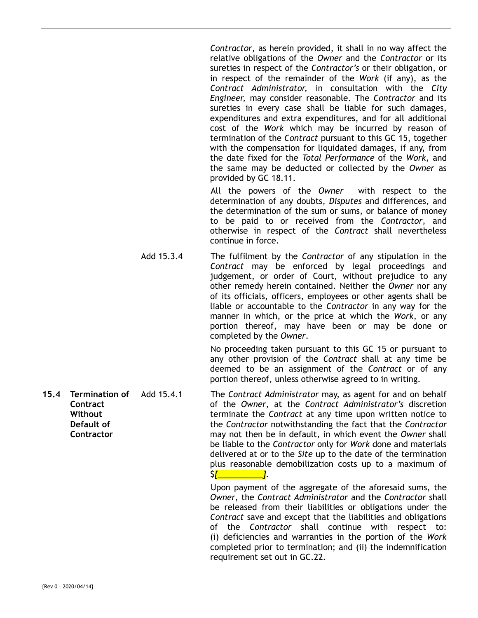*Contractor*, as herein provided, it shall in no way affect the relative obligations of the *Owner* and the *Contractor* or its sureties in respect of the *Contractor's* or their obligation, or in respect of the remainder of the *Work* (if any), as the *Contract Administrator,* in consultation with the *City Engineer,* may consider reasonable. The *Contractor* and its sureties in every case shall be liable for such damages, expenditures and extra expenditures, and for all additional cost of the *Work* which may be incurred by reason of termination of the *Contract* pursuant to this GC 15, together with the compensation for liquidated damages, if any, from the date fixed for the *Total Performance* of the *Work*, and the same may be deducted or collected by the *Owner* as provided by GC 18.11.

All the powers of the *Owner* with respect to the determination of any doubts, *Disputes* and differences, and the determination of the sum or sums, or balance of money to be paid to or received from the *Contractor*, and otherwise in respect of the *Contract* shall nevertheless continue in force.

Add 15.3.4 The fulfilment by the *Contractor* of any stipulation in the *Contract* may be enforced by legal proceedings and judgement, or order of Court, without prejudice to any other remedy herein contained. Neither the *Owner* nor any of its officials, officers, employees or other agents shall be liable or accountable to the *Contractor* in any way for the manner in which, or the price at which the *Work*, or any portion thereof, may have been or may be done or completed by the *Owner*.

> No proceeding taken pursuant to this GC 15 or pursuant to any other provision of the *Contract* shall at any time be deemed to be an assignment of the *Contract* or of any portion thereof, unless otherwise agreed to in writing.

**Contract Without Default of Contractor**  Add 15.4.1 The *Contract Administrator* may, as agent for and on behalf of the *Owner*, at the *Contract Administrator's* discretion terminate the *Contract* at any time upon written notice to the *Contractor* notwithstanding the fact that the *Contractor* may not then be in default, in which event the *Owner* shall be liable to the *Contractor* only for *Work* done and materials delivered at or to the *Site* up to the date of the termination plus reasonable demobilization costs up to a maximum of \$*[\_\_\_\_\_\_\_\_\_\_]*.

> Upon payment of the aggregate of the aforesaid sums, the *Owner*, the *Contract Administrator* and the *Contractor* shall be released from their liabilities or obligations under the *Contract* save and except that the liabilities and obligations of the *Contractor* shall continue with respect to: (i) deficiencies and warranties in the portion of the *Work* completed prior to termination; and (ii) the indemnification requirement set out in GC.22.

**15.4 Termination of**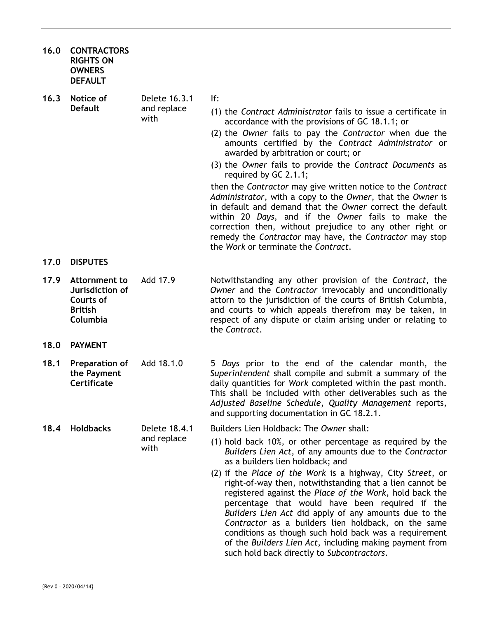- **16.0 CONTRACTORS RIGHTS ON OWNERS DEFAULT**
- **16.3 Notice of Default**  Delete 16.3.1 and replace with
	- If:
		- (1) the *Contract Administrator* fails to issue a certificate in accordance with the provisions of GC 18.1.1; or
		- (2) the *Owner* fails to pay the *Contractor* when due the amounts certified by the *Contract Administrator* or awarded by arbitration or court; or
		- (3) the *Owner* fails to provide the *Contract Documents* as required by GC 2.1.1;

then the *Contractor* may give written notice to the *Contract Administrator*, with a copy to the *Owner*, that the *Owner* is in default and demand that the *Owner* correct the default within 20 *Days*, and if the *Owner* fails to make the correction then, without prejudice to any other right or remedy the *Contractor* may have, the *Contractor* may stop the *Work* or terminate the *Contract*.

- **17.0 DISPUTES**
- **17.9 Attornment to Jurisdiction of Courts of British Columbia**
- **18.0 PAYMENT**
- **18.1 Preparation of the Payment Certificate**
- **18.4 Holdbacks** Delete 18.4.1 and replace

with

- Add 17.9 Notwithstanding any other provision of the *Contract*, the *Owner* and the *Contractor* irrevocably and unconditionally attorn to the jurisdiction of the courts of British Columbia, and courts to which appeals therefrom may be taken, in respect of any dispute or claim arising under or relating to the *Contract*.
- Add 18.1.0 5 *Days* prior to the end of the calendar month, the *Superintendent* shall compile and submit a summary of the daily quantities for *Work* completed within the past month. This shall be included with other deliverables such as the *Adjusted Baseline Schedule*, *Quality Management* reports, and supporting documentation in GC 18.2.1.
	- Builders Lien Holdback: The *Owner* shall:
		- (1) hold back 10%, or other percentage as required by the *Builders Lien Act*, of any amounts due to the *Contractor* as a builders lien holdback; and
		- (2) if the *Place of the Work* is a highway, City *Street*, or right-of-way then, notwithstanding that a lien cannot be registered against the *Place of the Work*, hold back the percentage that would have been required if the *Builders Lien Act* did apply of any amounts due to the *Contractor* as a builders lien holdback, on the same conditions as though such hold back was a requirement of the *Builders Lien Act*, including making payment from such hold back directly to *Subcontractors*.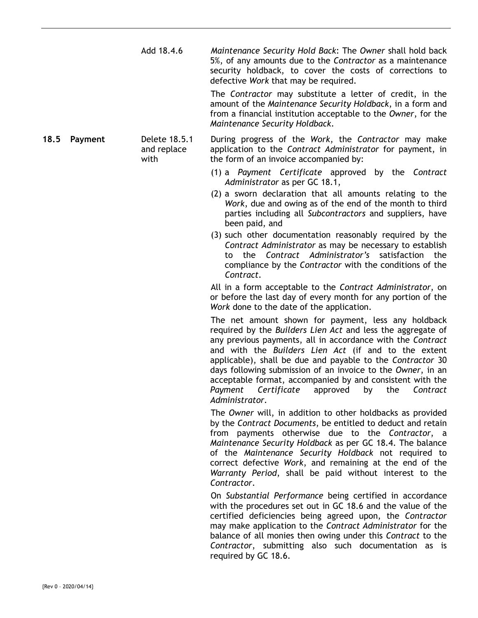Add 18.4.6 *Maintenance Security Hold Back*: The *Owner* shall hold back 5%, of any amounts due to the *Contractor* as a maintenance security holdback, to cover the costs of corrections to defective *Work* that may be required.

> The *Contractor* may substitute a letter of credit, in the amount of the *Maintenance Security Holdback*, in a form and from a financial institution acceptable to the *Owner*, for the *Maintenance Security Holdback*.

**18.5 Payment** Delete 18.5.1 and replace with During progress of the *Work*, the *Contractor* may make application to the *Contract Administrator* for payment, in the form of an invoice accompanied by:

- (1) a *Payment Certificate* approved by the *Contract Administrator* as per GC 18.1,
- (2) a sworn declaration that all amounts relating to the *Work*, due and owing as of the end of the month to third parties including all *Subcontractors* and suppliers, have been paid, and
- (3) such other documentation reasonably required by the *Contract Administrator* as may be necessary to establish to the *Contract Administrator's* satisfaction the compliance by the *Contractor* with the conditions of the *Contract.*

All in a form acceptable to the *Contract Administrator*, on or before the last day of every month for any portion of the *Work* done to the date of the application.

The net amount shown for payment, less any holdback required by the *Builders Lien Act* and less the aggregate of any previous payments, all in accordance with the *Contract* and with the *Builders Lien Act* (if and to the extent applicable), shall be due and payable to the *Contractor* 30 days following submission of an invoice to the *Owner*, in an acceptable format, accompanied by and consistent with the *Payment Certificate* approved by the *Contract Administrator.*

The *Owner* will, in addition to other holdbacks as provided by the *Contract Documents*, be entitled to deduct and retain from payments otherwise due to the *Contractor*, a *Maintenance Security Holdback* as per GC 18.4. The balance of the *Maintenance Security Holdback* not required to correct defective *Work*, and remaining at the end of the *Warranty Period*, shall be paid without interest to the *Contractor*.

On *Substantial Performance* being certified in accordance with the procedures set out in GC 18.6 and the value of the certified deficiencies being agreed upon, the *Contractor* may make application to the *Contract Administrator* for the balance of all monies then owing under this *Contract* to the *Contractor*, submitting also such documentation as is required by GC 18.6.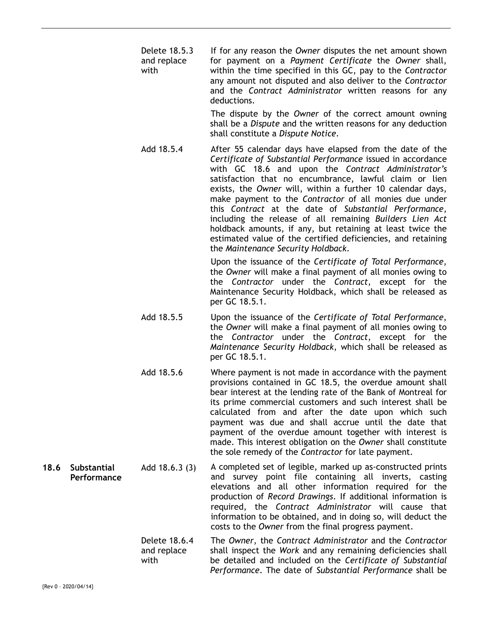Delete 18.5.3 and replace with If for any reason the *Owner* disputes the net amount shown for payment on a *Payment Certificate* the *Owner* shall, within the time specified in this GC, pay to the *Contractor* any amount not disputed and also deliver to the *Contractor* and the *Contract Administrator* written reasons for any deductions.

> The dispute by the *Owner* of the correct amount owning shall be a *Dispute* and the written reasons for any deduction shall constitute a *Dispute Notice*.

Add 18.5.4 After 55 calendar days have elapsed from the date of the *Certificate of Substantial Performance* issued in accordance with GC 18.6 and upon the *Contract Administrator's* satisfaction that no encumbrance, lawful claim or lien exists, the *Owner* will, within a further 10 calendar days, make payment to the *Contractor* of all monies due under this *Contract* at the date of *Substantial Performance*, including the release of all remaining *Builders Lien Act*  holdback amounts, if any, but retaining at least twice the estimated value of the certified deficiencies, and retaining the *Maintenance Security Holdback*.

> Upon the issuance of the *Certificate of Total Performance*, the *Owner* will make a final payment of all monies owing to the *Contractor* under the *Contract*, except for the Maintenance Security Holdback, which shall be released as per GC 18.5.1.

- Add 18.5.5 Upon the issuance of the *Certificate of Total Performance*, the *Owner* will make a final payment of all monies owing to the *Contractor* under the *Contract*, except for the *Maintenance Security Holdback*, which shall be released as per GC 18.5.1.
- Add 18.5.6 Where payment is not made in accordance with the payment provisions contained in GC 18.5, the overdue amount shall bear interest at the lending rate of the Bank of Montreal for its prime commercial customers and such interest shall be calculated from and after the date upon which such payment was due and shall accrue until the date that payment of the overdue amount together with interest is made. This interest obligation on the *Owner* shall constitute the sole remedy of the *Contractor* for late payment.
- **18.6 Substantial Performance**  Add 18.6.3 (3) A completed set of legible, marked up as-constructed prints and survey point file containing all inverts, casting elevations and all other information required for the production of *Record Drawings*. If additional information is required, the *Contract Administrator* will cause that information to be obtained, and in doing so, will deduct the costs to the *Owner* from the final progress payment.
	- Delete 18.6.4 and replace with The *Owner*, the *Contract Administrator* and the *Contractor* shall inspect the *Work* and any remaining deficiencies shall be detailed and included on the *Certificate of Substantial Performance*. The date of *Substantial Performance* shall be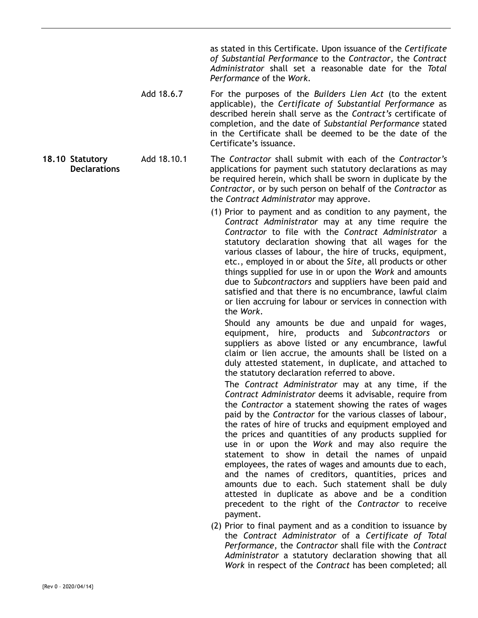as stated in this Certificate. Upon issuance of the *Certificate of Substantial Performance* to the *Contractor*, the *Contract Administrator* shall set a reasonable date for the *Total Performance* of the *Work*.

- Add 18.6.7 For the purposes of the *Builders Lien Act* (to the extent applicable), the *Certificate of Substantial Performance* as described herein shall serve as the *Contract's* certificate of completion, and the date of *Substantial Performance* stated in the Certificate shall be deemed to be the date of the Certificate's issuance.
- **18.10 Statutory Declarations**  Add 18.10.1 The *Contractor* shall submit with each of the *Contractor's* applications for payment such statutory declarations as may be required herein, which shall be sworn in duplicate by the *Contractor*, or by such person on behalf of the *Contractor* as the *Contract Administrator* may approve.
	- (1) Prior to payment and as condition to any payment, the *Contract Administrator* may at any time require the *Contractor* to file with the *Contract Administrator* a statutory declaration showing that all wages for the various classes of labour, the hire of trucks, equipment, etc., employed in or about the *Site*, all products or other things supplied for use in or upon the *Work* and amounts due to *Subcontractors* and suppliers have been paid and satisfied and that there is no encumbrance, lawful claim or lien accruing for labour or services in connection with the *Work*.

Should any amounts be due and unpaid for wages, equipment, hire, products and *Subcontractors* or suppliers as above listed or any encumbrance, lawful claim or lien accrue, the amounts shall be listed on a duly attested statement, in duplicate, and attached to the statutory declaration referred to above.

The *Contract Administrator* may at any time, if the *Contract Administrator* deems it advisable, require from the *Contractor* a statement showing the rates of wages paid by the *Contractor* for the various classes of labour, the rates of hire of trucks and equipment employed and the prices and quantities of any products supplied for use in or upon the *Work* and may also require the statement to show in detail the names of unpaid employees, the rates of wages and amounts due to each, and the names of creditors, quantities, prices and amounts due to each. Such statement shall be duly attested in duplicate as above and be a condition precedent to the right of the *Contractor* to receive payment.

(2) Prior to final payment and as a condition to issuance by the *Contract Administrator* of a *Certificate of Total Performance*, the *Contractor* shall file with the *Contract Administrator* a statutory declaration showing that all *Work* in respect of the *Contract* has been completed; all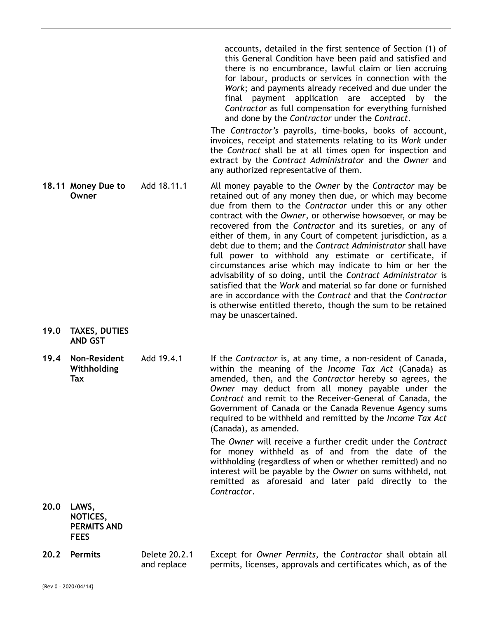accounts, detailed in the first sentence of Section (1) of this General Condition have been paid and satisfied and there is no encumbrance, lawful claim or lien accruing for labour, products or services in connection with the *Work*; and payments already received and due under the final payment application are accepted by the *Contractor* as full compensation for everything furnished and done by the *Contractor* under the *Contract*.

The *Contractor's* payrolls, time-books, books of account, invoices, receipt and statements relating to its *Work* under the *Contract* shall be at all times open for inspection and extract by the *Contract Administrator* and the *Owner* and any authorized representative of them.

- **18.11 Money Due to Owner**  Add 18.11.1 All money payable to the *Owner* by the *Contractor* may be retained out of any money then due, or which may become due from them to the *Contractor* under this or any other contract with the *Owner*, or otherwise howsoever, or may be recovered from the *Contractor* and its sureties, or any of either of them, in any Court of competent jurisdiction, as a debt due to them; and the *Contract Administrator* shall have full power to withhold any estimate or certificate, if circumstances arise which may indicate to him or her the advisability of so doing, until the *Contract Administrator* is satisfied that the *Work* and material so far done or furnished are in accordance with the *Contract* and that the *Contractor* is otherwise entitled thereto, though the sum to be retained may be unascertained.
- **19.0 TAXES, DUTIES AND GST**
- **19.4 Non-Resident Withholding Tax**

Add 19.4.1 If the *Contractor* is, at any time, a non-resident of Canada, within the meaning of the *Income Tax Act* (Canada) as amended, then, and the *Contractor* hereby so agrees, the *Owner* may deduct from all money payable under the *Contract* and remit to the Receiver-General of Canada, the Government of Canada or the Canada Revenue Agency sums required to be withheld and remitted by the *Income Tax Act*  (Canada), as amended.

> The *Owner* will receive a further credit under the *Contract* for money withheld as of and from the date of the withholding (regardless of when or whether remitted) and no interest will be payable by the *Owner* on sums withheld, not remitted as aforesaid and later paid directly to the *Contractor*.

- **20.0 LAWS, NOTICES, PERMITS AND FEES**
- **20.2 Permits** Delete 20.2.1 and replace Except for *Owner Permits*, the *Contractor* shall obtain all permits, licenses, approvals and certificates which, as of the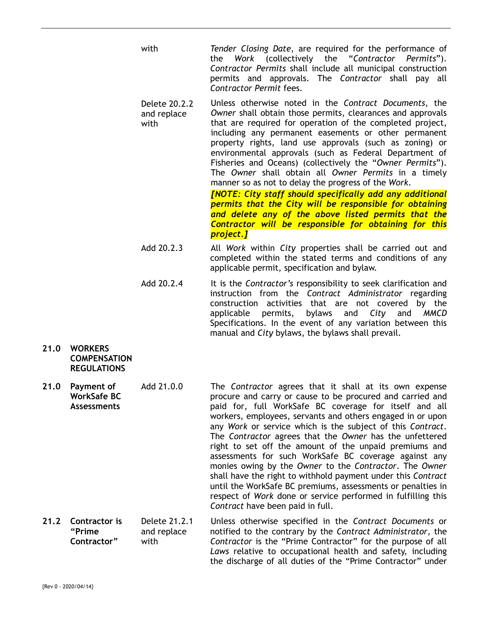- with *Tender Closing Date*, are required for the performance of the *Work* (collectively the "*Contractor Permits*"). *Contractor Permits* shall include all municipal construction permits and approvals. The *Contractor* shall pay all *Contractor Permit* fees.
- Delete 20.2.2 and replace with Unless otherwise noted in the *Contract Documents*, the *Owner* shall obtain those permits, clearances and approvals that are required for operation of the completed project, including any permanent easements or other permanent property rights, land use approvals (such as zoning) or environmental approvals (such as Federal Department of Fisheries and Oceans) (collectively the "*Owner Permits*"). The *Owner* shall obtain all *Owner Permits* in a timely manner so as not to delay the progress of the *Work*.

*[NOTE: City staff should specifically add any additional permits that the City will be responsible for obtaining and delete any of the above listed permits that the Contractor will be responsible for obtaining for this project.]* 

- Add 20.2.3 All *Work* within *City* properties shall be carried out and completed within the stated terms and conditions of any applicable permit, specification and bylaw.
- Add 20.2.4 It is the *Contractor's* responsibility to seek clarification and instruction from the *Contract Administrator* regarding construction activities that are not covered by the applicable permits, bylaws and *City* and *MMCD* Specifications. In the event of any variation between this manual and *City* bylaws, the bylaws shall prevail.
- **21.0 WORKERS COMPENSATION REGULATIONS**
- **21.0 Payment of WorkSafe BC Assessments**  Add 21.0.0 The *Contractor* agrees that it shall at its own expense procure and carry or cause to be procured and carried and paid for, full WorkSafe BC coverage for itself and all workers, employees, servants and others engaged in or upon any *Work* or service which is the subject of this *Contract*. The *Contractor* agrees that the *Owner* has the unfettered right to set off the amount of the unpaid premiums and assessments for such WorkSafe BC coverage against any monies owing by the *Owner* to the *Contractor*. The *Owner* shall have the right to withhold payment under this *Contract* until the WorkSafe BC premiums, assessments or penalties in respect of *Work* done or service performed in fulfilling this *Contract* have been paid in full.
- **21.2 Contractor is "Prime Contractor"**  Delete 21.2.1 and replace with Unless otherwise specified in the *Contract Documents* or notified to the contrary by the *Contract Administrator*, the *Contractor* is the "Prime Contractor" for the purpose of all *Laws* relative to occupational health and safety, including the discharge of all duties of the "Prime Contractor" under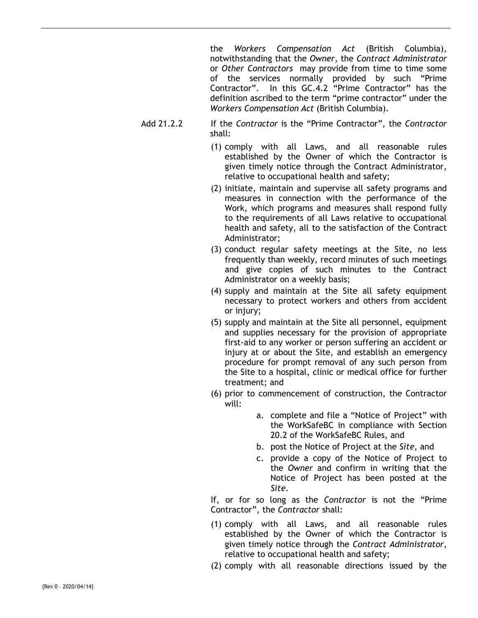the *Workers Compensation Act* (British Columbia), notwithstanding that the *Owner*, the *Contract Administrator* or *Other Contractors* may provide from time to time some of the services normally provided by such "Prime Contractor". In this GC.4.2 "Prime Contractor" has the definition ascribed to the term "prime contractor" under the *Workers Compensation Act* (British Columbia).

- Add 21.2.2 If the *Contractor* is the "Prime Contractor", the *Contractor* shall:
	- (1) comply with all Laws, and all reasonable rules established by the Owner of which the Contractor is given timely notice through the Contract Administrator, relative to occupational health and safety;
	- (2) initiate, maintain and supervise all safety programs and measures in connection with the performance of the Work, which programs and measures shall respond fully to the requirements of all Laws relative to occupational health and safety, all to the satisfaction of the Contract Administrator;
	- (3) conduct regular safety meetings at the Site, no less frequently than weekly, record minutes of such meetings and give copies of such minutes to the Contract Administrator on a weekly basis;
	- (4) supply and maintain at the Site all safety equipment necessary to protect workers and others from accident or injury;
	- (5) supply and maintain at the Site all personnel, equipment and supplies necessary for the provision of appropriate first-aid to any worker or person suffering an accident or injury at or about the Site, and establish an emergency procedure for prompt removal of any such person from the Site to a hospital, clinic or medical office for further treatment; and
	- (6) prior to commencement of construction, the Contractor will:
		- a. complete and file a "Notice of Project" with the WorkSafeBC in compliance with Section 20.2 of the WorkSafeBC Rules, and
		- b. post the Notice of Project at the *Site*, and
		- c. provide a copy of the Notice of Project to the *Owner* and confirm in writing that the Notice of Project has been posted at the *Site*.

If, or for so long as the *Contractor* is not the "Prime Contractor", the *Contractor* shall:

- (1) comply with all Laws, and all reasonable rules established by the Owner of which the Contractor is given timely notice through the *Contract Administrator*, relative to occupational health and safety;
- (2) comply with all reasonable directions issued by the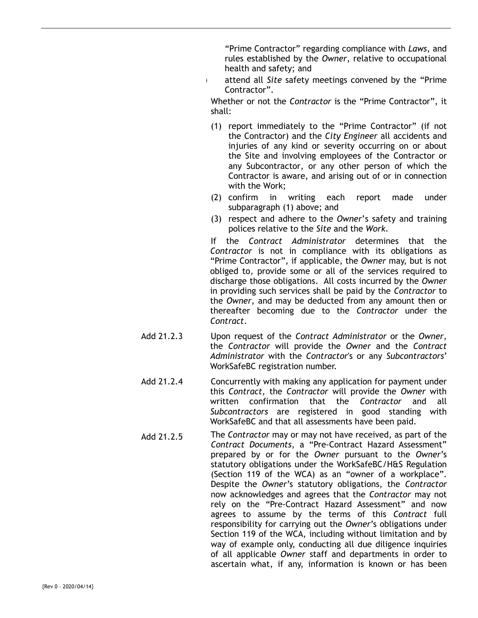"Prime Contractor" regarding compliance with *Laws*, and rules established by the *Owner*, relative to occupational health and safety; and

attend all *Site* safety meetings convened by the "Prime" Contractor".

Whether or not the *Contractor* is the "Prime Contractor", it shall:

- (1) report immediately to the "Prime Contractor" (if not the Contractor) and the *City Engineer* all accidents and injuries of any kind or severity occurring on or about the Site and involving employees of the Contractor or any Subcontractor, or any other person of which the Contractor is aware, and arising out of or in connection with the Work;
- (2) confirm in writing each report made under subparagraph (1) above; and
- (3) respect and adhere to the *Owner*'s safety and training polices relative to the *Site* and the *Work*.

If the *Contract Administrator* determines that the *Contractor* is not in compliance with its obligations as "Prime Contractor", if applicable, the *Owner* may, but is not obliged to, provide some or all of the services required to discharge those obligations. All costs incurred by the *Owner* in providing such services shall be paid by the *Contractor* to the *Owner*, and may be deducted from any amount then or thereafter becoming due to the *Contractor* under the *Contract*.

- Add 21.2.3 Upon request of the *Contract Administrator* or the *Owner*, the *Contractor* will provide the *Owner* and the *Contract Administrator* with the *Contractor*'s or any *Subcontractors*' WorkSafeBC registration number.
- Add 21.2.4 Concurrently with making any application for payment under this *Contract*, the *Contractor* will provide the *Owner* with written confirmation that the *Contractor* and all *Subcontractors* are registered in good standing with WorkSafeBC and that all assessments have been paid.
- Add 21.2.5 The *Contractor* may or may not have received, as part of the *Contract Documents*, a "Pre-Contract Hazard Assessment" prepared by or for the *Owner* pursuant to the *Owner*'s statutory obligations under the WorkSafeBC/H&S Regulation (Section 119 of the WCA) as an "owner of a workplace". Despite the *Owner*'s statutory obligations, the *Contractor* now acknowledges and agrees that the *Contractor* may not rely on the "Pre-Contract Hazard Assessment" and now agrees to assume by the terms of this *Contract* full responsibility for carrying out the *Owner*'s obligations under Section 119 of the WCA, including without limitation and by way of example only, conducting all due diligence inquiries of all applicable *Owner* staff and departments in order to ascertain what, if any, information is known or has been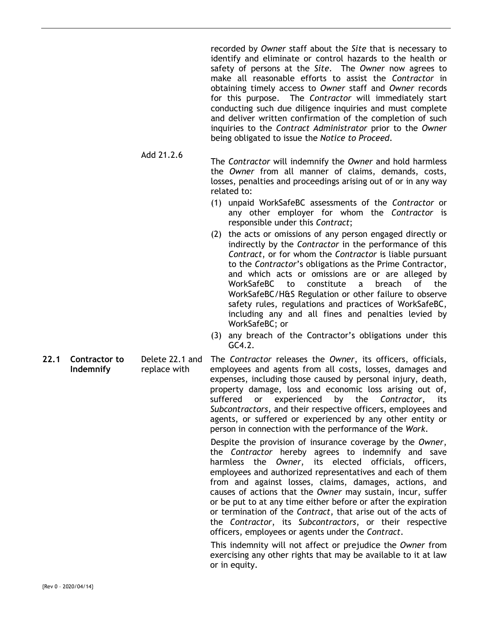recorded by *Owner* staff about the *Site* that is necessary to identify and eliminate or control hazards to the health or safety of persons at the *Site*. The *Owner* now agrees to make all reasonable efforts to assist the *Contractor* in obtaining timely access to *Owner* staff and *Owner* records for this purpose. The *Contractor* will immediately start conducting such due diligence inquiries and must complete and deliver written confirmation of the completion of such inquiries to the *Contract Administrator* prior to the *Owner* being obligated to issue the *Notice to Proceed*.

- Add 21.2.6 The *Contractor* will indemnify the *Owner* and hold harmless the *Owner* from all manner of claims, demands, costs, losses, penalties and proceedings arising out of or in any way related to:
	- (1) unpaid WorkSafeBC assessments of the *Contractor* or any other employer for whom the *Contractor* is responsible under this *Contract*;
	- (2) the acts or omissions of any person engaged directly or indirectly by the *Contractor* in the performance of this *Contract*, or for whom the *Contractor* is liable pursuant to the *Contractor*'s obligations as the Prime Contractor, and which acts or omissions are or are alleged by WorkSafeBC to constitute a breach of the WorkSafeBC/H&S Regulation or other failure to observe safety rules, regulations and practices of WorkSafeBC, including any and all fines and penalties levied by WorkSafeBC; or
	- (3) any breach of the Contractor's obligations under this GC4.2.

**22.1 Contractor to Indemnify**  Delete 22.1 and replace with The *Contractor* releases the *Owner*, its officers, officials, employees and agents from all costs, losses, damages and expenses, including those caused by personal injury, death, property damage, loss and economic loss arising out of, suffered or experienced by the *Contractor*, its *Subcontractors*, and their respective officers, employees and agents, or suffered or experienced by any other entity or person in connection with the performance of the *Work*.

> Despite the provision of insurance coverage by the *Owner*, the *Contractor* hereby agrees to indemnify and save harmless the *Owner*, its elected officials, officers, employees and authorized representatives and each of them from and against losses, claims, damages, actions, and causes of actions that the *Owner* may sustain, incur, suffer or be put to at any time either before or after the expiration or termination of the *Contract*, that arise out of the acts of the *Contractor*, its *Subcontractors*, or their respective officers, employees or agents under the *Contract*.

> This indemnity will not affect or prejudice the *Owner* from exercising any other rights that may be available to it at law or in equity.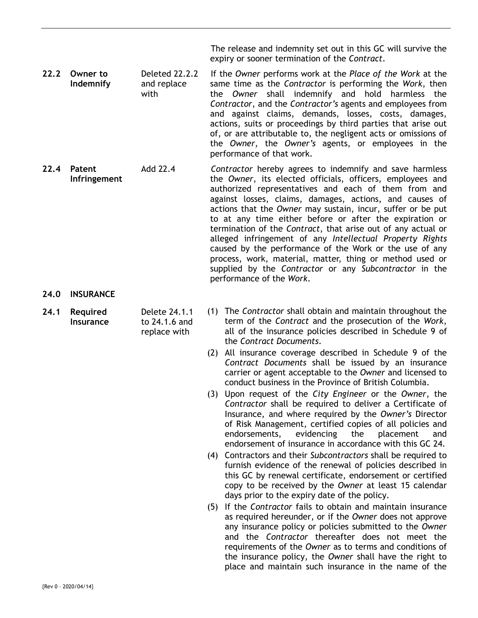The release and indemnity set out in this GC will survive the expiry or sooner termination of the *Contract*.

- **22.2 Owner to Indemnify**  Deleted 22.2.2 and replace with If the *Owner* performs work at the *Place of the Work* at the same time as the *Contractor* is performing the *Work*, then the *Owner* shall indemnify and hold harmless the *Contractor*, and the *Contractor's* agents and employees from and against claims, demands, losses, costs, damages, actions, suits or proceedings by third parties that arise out of, or are attributable to, the negligent acts or omissions of the *Owner*, the *Owner's* agents, or employees in the performance of that work.
- **22.4 Patent Infringement**  Add 22.4 *Contractor* hereby agrees to indemnify and save harmless the *Owner*, its elected officials, officers, employees and authorized representatives and each of them from and against losses, claims, damages, actions, and causes of actions that the *Owner* may sustain, incur, suffer or be put to at any time either before or after the expiration or termination of the *Contract*, that arise out of any actual or alleged infringement of any *Intellectual Property Rights* caused by the performance of the Work or the use of any process, work, material, matter, thing or method used or supplied by the *Contractor* or any *Subcontractor* in the performance of the *Work*.
- **24.0 INSURANCE**
- **24.1 Required Insurance**  Delete 24.1.1 to 24.1.6 and replace with
- (1) The *Contractor* shall obtain and maintain throughout the term of the *Contract* and the prosecution of the *Work*, all of the insurance policies described in Schedule 9 of the *Contract Documents*.
	- (2) All insurance coverage described in Schedule 9 of the *Contract Documents* shall be issued by an insurance carrier or agent acceptable to the *Owner* and licensed to conduct business in the Province of British Columbia.
	- (3) Upon request of the *City Engineer* or the *Owner*, the *Contractor* shall be required to deliver a Certificate of Insurance, and where required by the *Owner's* Director of Risk Management, certified copies of all policies and endorsements, evidencing the placement and endorsement of insurance in accordance with this GC 24.
	- (4) Contractors and their *Subcontractors* shall be required to furnish evidence of the renewal of policies described in this GC by renewal certificate, endorsement or certified copy to be received by the *Owner* at least 15 calendar days prior to the expiry date of the policy.
	- (5) If the *Contractor* fails to obtain and maintain insurance as required hereunder, or if the *Owner* does not approve any insurance policy or policies submitted to the *Owner* and the *Contractor* thereafter does not meet the requirements of the *Owner* as to terms and conditions of the insurance policy, the *Owner* shall have the right to place and maintain such insurance in the name of the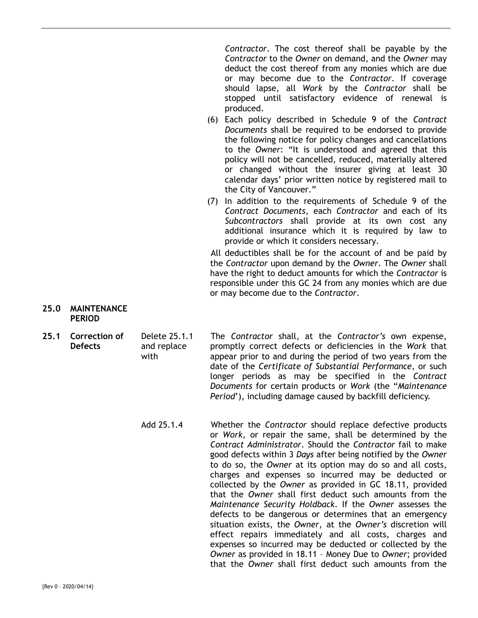*Contractor*. The cost thereof shall be payable by the *Contractor* to the *Owner* on demand, and the *Owner* may deduct the cost thereof from any monies which are due or may become due to the *Contractor*. If coverage should lapse, all *Work* by the *Contractor* shall be stopped until satisfactory evidence of renewal is produced.

- (6) Each policy described in Schedule 9 of the *Contract Documents* shall be required to be endorsed to provide the following notice for policy changes and cancellations to the *Owner*: "It is understood and agreed that this policy will not be cancelled, reduced, materially altered or changed without the insurer giving at least 30 calendar days' prior written notice by registered mail to the City of Vancouver."
- (7) In addition to the requirements of Schedule 9 of the *Contract Documents*, each *Contractor* and each of its *Subcontractors* shall provide at its own cost any additional insurance which it is required by law to provide or which it considers necessary.

All deductibles shall be for the account of and be paid by the *Contractor* upon demand by the *Owner*. The *Owner* shall have the right to deduct amounts for which the *Contractor* is responsible under this GC 24 from any monies which are due or may become due to the *Contractor*.

#### **25.0 MAINTENANCE PERIOD**

- **25.1 Correction of Defects**  Delete 25.1.1 and replace with The *Contractor* shall, at the *Contractor's* own expense, promptly correct defects or deficiencies in the *Work* that appear prior to and during the period of two years from the date of the *Certificate of Substantial Performance*, or such longer periods as may be specified in the *Contract Documents* for certain products or *Work* (the "*Maintenance Period*'), including damage caused by backfill deficiency.
	- Add 25.1.4 Whether the *Contractor* should replace defective products or *Work*, or repair the same, shall be determined by the *Contract Administrator*. Should the *Contractor* fail to make good defects within 3 *Days* after being notified by the *Owner* to do so, the *Owner* at its option may do so and all costs, charges and expenses so incurred may be deducted or collected by the *Owner* as provided in GC 18.11, provided that the *Owner* shall first deduct such amounts from the *Maintenance Security Holdback*. If the *Owner* assesses the defects to be dangerous or determines that an emergency situation exists, the *Owner*, at the *Owner's* discretion will effect repairs immediately and all costs, charges and expenses so incurred may be deducted or collected by the *Owner* as provided in 18.11 – Money Due to *Owner*; provided that the *Owner* shall first deduct such amounts from the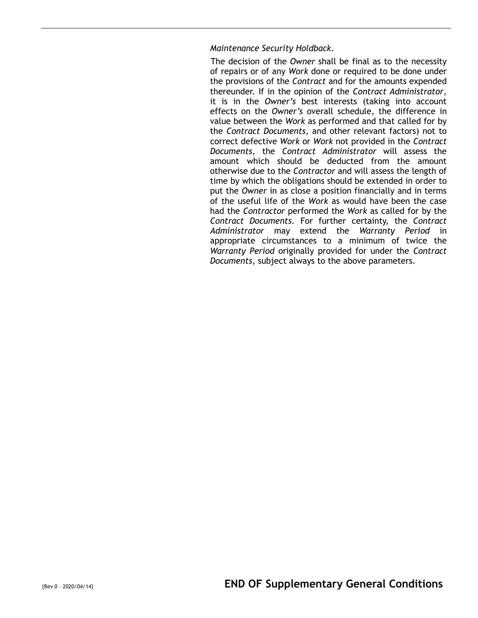# *Maintenance Security Holdback*.

The decision of the *Owner* shall be final as to the necessity of repairs or of any *Work* done or required to be done under the provisions of the *Contract* and for the amounts expended thereunder. If in the opinion of the *Contract Administrator*, it is in the *Owner's* best interests (taking into account effects on the *Owner's* overall schedule, the difference in value between the *Work* as performed and that called for by the *Contract Documents*, and other relevant factors) not to correct defective *Work* or *Work* not provided in the *Contract Documents*, the *Contract Administrator* will assess the amount which should be deducted from the amount otherwise due to the *Contractor* and will assess the length of time by which the obligations should be extended in order to put the *Owner* in as close a position financially and in terms of the useful life of the *Work* as would have been the case had the *Contractor* performed the *Work* as called for by the *Contract Documents*. For further certainty, the *Contract Administrator* may extend the *Warranty Period* in appropriate circumstances to a minimum of twice the *Warranty Period* originally provided for under the *Contract Documents*, subject always to the above parameters.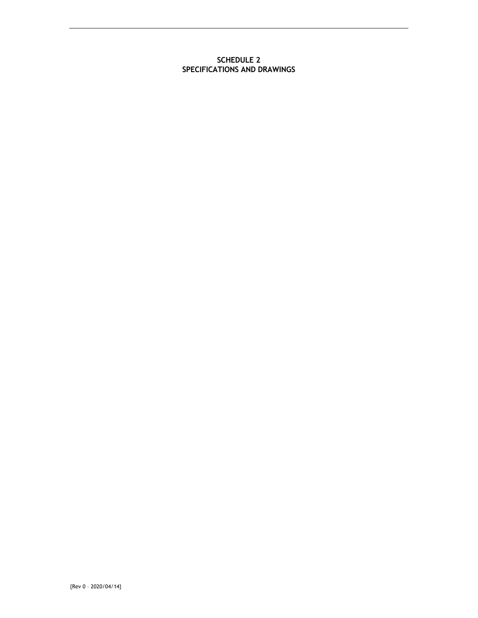#### **SCHEDULE 2 SPECIFICATIONS AND DRAWINGS**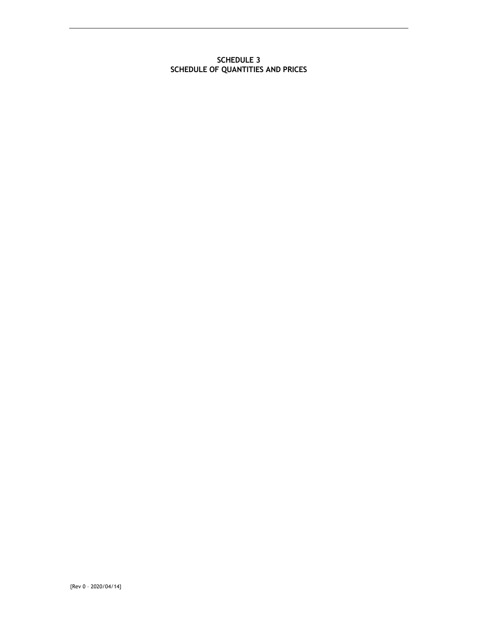#### **SCHEDULE 3 SCHEDULE OF QUANTITIES AND PRICES**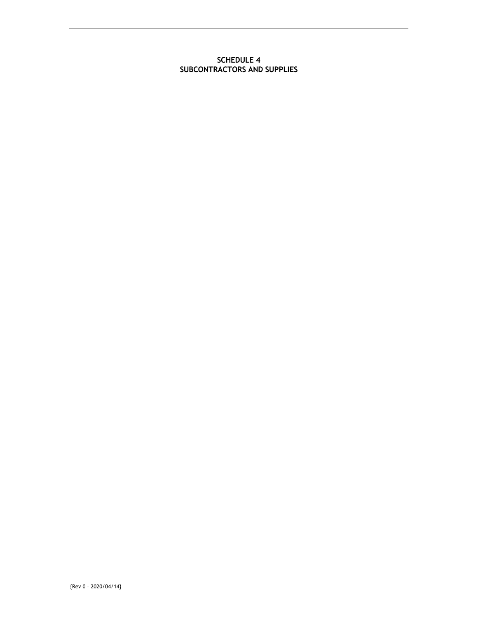#### **SCHEDULE 4 SUBCONTRACTORS AND SUPPLIES**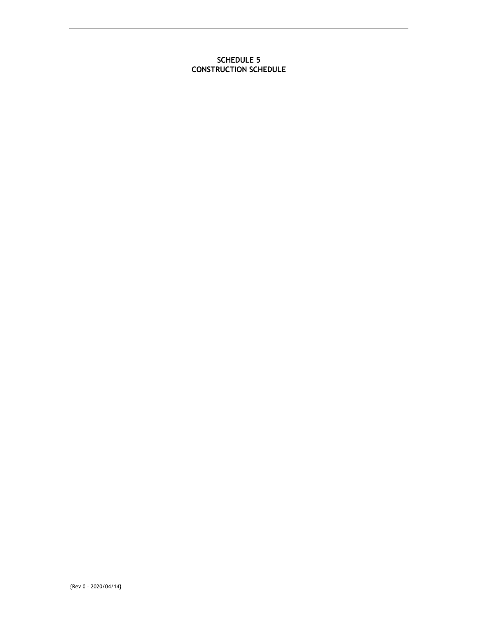### **SCHEDULE 5 CONSTRUCTION SCHEDULE**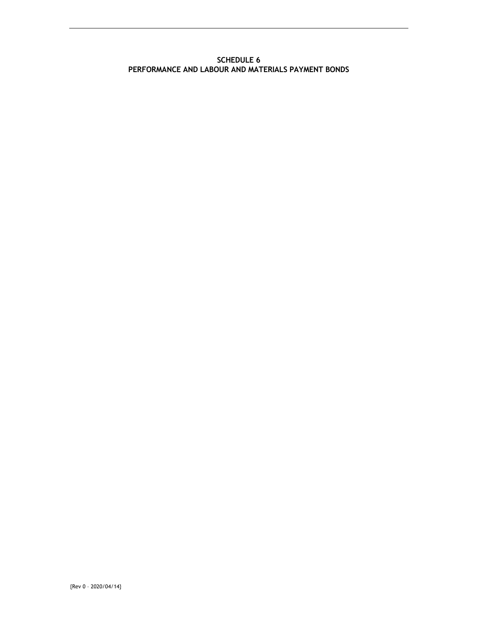#### **SCHEDULE 6 PERFORMANCE AND LABOUR AND MATERIALS PAYMENT BONDS**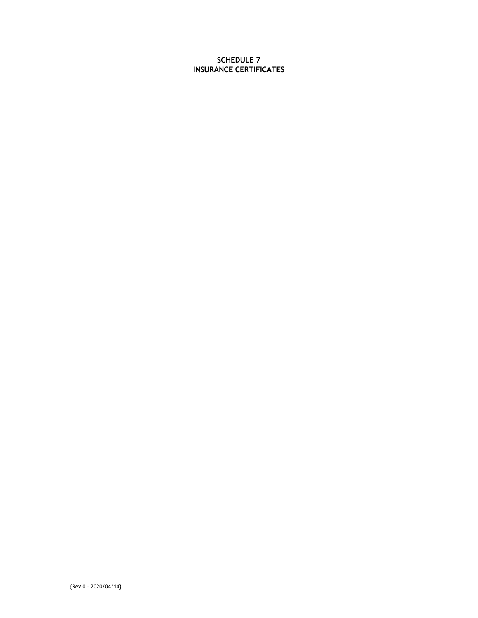#### **SCHEDULE 7 INSURANCE CERTIFICATES**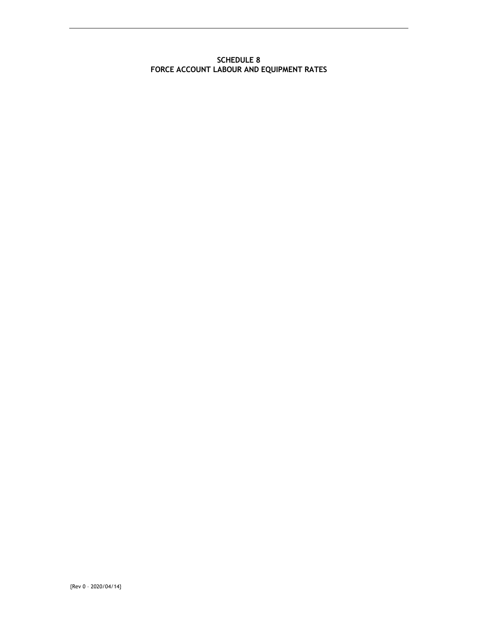#### **SCHEDULE 8 FORCE ACCOUNT LABOUR AND EQUIPMENT RATES**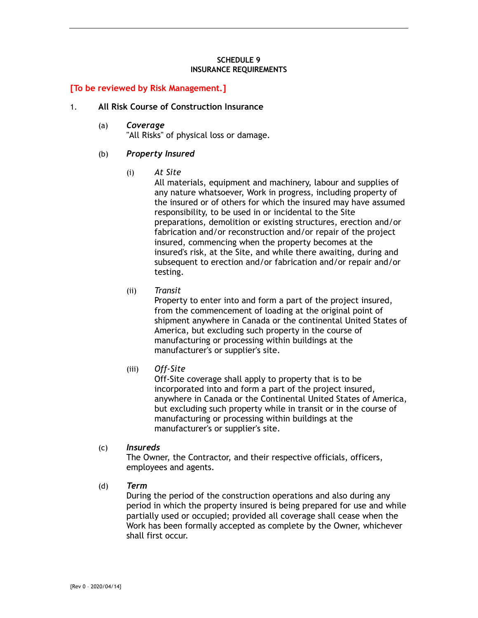#### **SCHEDULE 9 INSURANCE REQUIREMENTS**

# **[To be reviewed by Risk Management.]**

#### 1. **All Risk Course of Construction Insurance**

(a) *Coverage*  "All Risks" of physical loss or damage.

#### (b) *Property Insured*

(i) *At Site* 

All materials, equipment and machinery, labour and supplies of any nature whatsoever, Work in progress, including property of the insured or of others for which the insured may have assumed responsibility, to be used in or incidental to the Site preparations, demolition or existing structures, erection and/or fabrication and/or reconstruction and/or repair of the project insured, commencing when the property becomes at the insured's risk, at the Site, and while there awaiting, during and subsequent to erection and/or fabrication and/or repair and/or testing.

(ii) *Transit* 

Property to enter into and form a part of the project insured, from the commencement of loading at the original point of shipment anywhere in Canada or the continental United States of America, but excluding such property in the course of manufacturing or processing within buildings at the manufacturer's or supplier's site.

(iii) *Off-Site* 

Off-Site coverage shall apply to property that is to be incorporated into and form a part of the project insured, anywhere in Canada or the Continental United States of America, but excluding such property while in transit or in the course of manufacturing or processing within buildings at the manufacturer's or supplier's site.

(c) *Insureds* 

The Owner, the Contractor, and their respective officials, officers, employees and agents.

(d) *Term* 

During the period of the construction operations and also during any period in which the property insured is being prepared for use and while partially used or occupied; provided all coverage shall cease when the Work has been formally accepted as complete by the Owner, whichever shall first occur.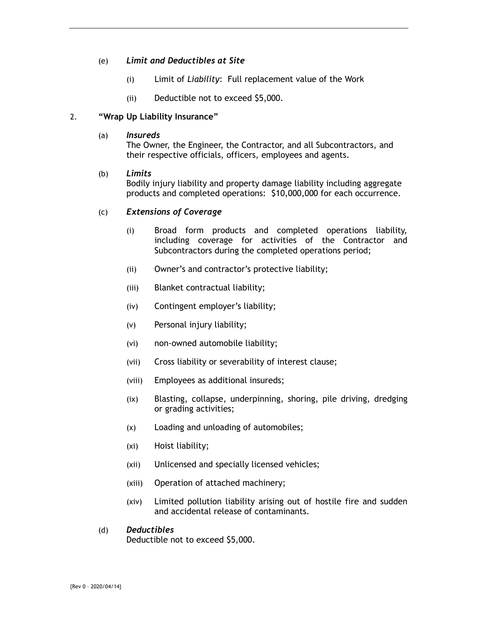# (e) *Limit and Deductibles at Site*

- (i) Limit of *Liability*: Full replacement value of the Work
- (ii) Deductible not to exceed \$5,000.

# 2. **"Wrap Up Liability Insurance"**

(a) *Insureds* 

The Owner, the Engineer, the Contractor, and all Subcontractors, and their respective officials, officers, employees and agents.

# (b) *Limits*

Bodily injury liability and property damage liability including aggregate products and completed operations: \$10,000,000 for each occurrence.

### (c) *Extensions of Coverage*

- (i) Broad form products and completed operations liability, including coverage for activities of the Contractor and Subcontractors during the completed operations period;
- (ii) Owner's and contractor's protective liability;
- (iii) Blanket contractual liability;
- (iv) Contingent employer's liability;
- (v) Personal injury liability;
- (vi) non-owned automobile liability;
- (vii) Cross liability or severability of interest clause;
- (viii) Employees as additional insureds;
- (ix) Blasting, collapse, underpinning, shoring, pile driving, dredging or grading activities;
- (x) Loading and unloading of automobiles;
- (xi) Hoist liability;
- (xii) Unlicensed and specially licensed vehicles;
- (xiii) Operation of attached machinery;
- (xiv) Limited pollution liability arising out of hostile fire and sudden and accidental release of contaminants.

#### (d) *Deductibles*

Deductible not to exceed \$5,000.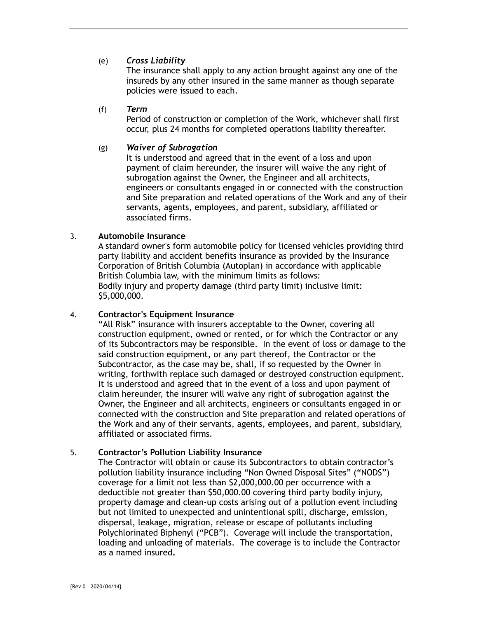# (e) *Cross Liability*

The insurance shall apply to any action brought against any one of the insureds by any other insured in the same manner as though separate policies were issued to each.

#### (f) *Term*

Period of construction or completion of the Work, whichever shall first occur, plus 24 months for completed operations liability thereafter.

#### (g) *Waiver of Subrogation*

It is understood and agreed that in the event of a loss and upon payment of claim hereunder, the insurer will waive the any right of subrogation against the Owner, the Engineer and all architects, engineers or consultants engaged in or connected with the construction and Site preparation and related operations of the Work and any of their servants, agents, employees, and parent, subsidiary, affiliated or associated firms.

### 3. **Automobile Insurance**

A standard owner's form automobile policy for licensed vehicles providing third party liability and accident benefits insurance as provided by the Insurance Corporation of British Columbia (Autoplan) in accordance with applicable British Columbia law, with the minimum limits as follows: Bodily injury and property damage (third party limit) inclusive limit: \$5,000,000.

### 4. **Contractor's Equipment Insurance**

"All Risk" insurance with insurers acceptable to the Owner, covering all construction equipment, owned or rented, or for which the Contractor or any of its Subcontractors may be responsible. In the event of loss or damage to the said construction equipment, or any part thereof, the Contractor or the Subcontractor, as the case may be, shall, if so requested by the Owner in writing, forthwith replace such damaged or destroyed construction equipment. It is understood and agreed that in the event of a loss and upon payment of claim hereunder, the insurer will waive any right of subrogation against the Owner, the Engineer and all architects, engineers or consultants engaged in or connected with the construction and Site preparation and related operations of the Work and any of their servants, agents, employees, and parent, subsidiary, affiliated or associated firms.

### 5. **Contractor's Pollution Liability Insurance**

The Contractor will obtain or cause its Subcontractors to obtain contractor's pollution liability insurance including "Non Owned Disposal Sites" ("NODS") coverage for a limit not less than \$2,000,000.00 per occurrence with a deductible not greater than \$50,000.00 covering third party bodily injury, property damage and clean-up costs arising out of a pollution event including but not limited to unexpected and unintentional spill, discharge, emission, dispersal, leakage, migration, release or escape of pollutants including Polychlorinated Biphenyl ("PCB"). Coverage will include the transportation, loading and unloading of materials. The **c**overage is to include the Contractor as a named insured**.**